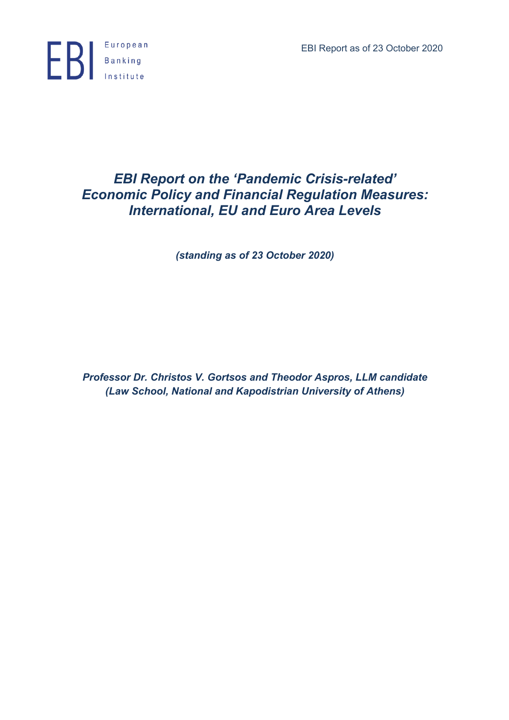EBI Report as of 23 October 2020



# *EBI Report on the 'Pandemic Crisis-related' Economic Policy and Financial Regulation Measures: International, EU and Euro Area Levels*

*(standing as of 23 October 2020)*

*Professor Dr. Christos V. Gortsos and Theodor Aspros, LLM candidate (Law School, National and Kapodistrian University of Athens)*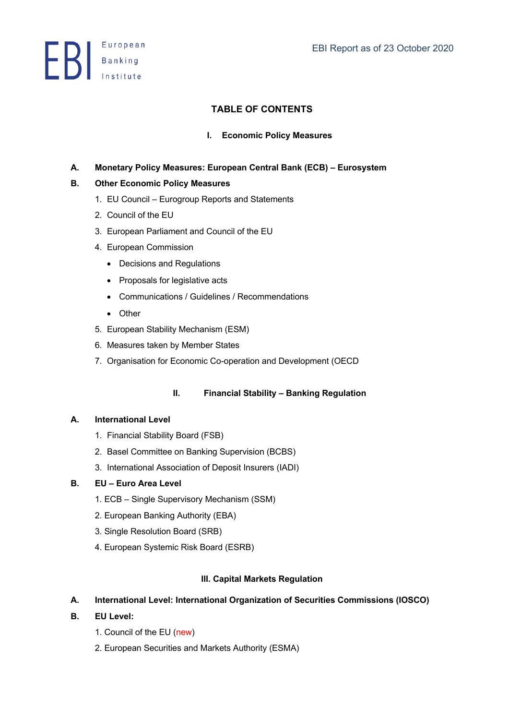**ED** Banking

# **TABLE OF CONTENTS**

## **I. Economic Policy Measures**

## **A. Monetary Policy Measures: European Central Bank (ECB) – Eurosystem**

## **B. Other Economic Policy Measures**

- 1. EU Council Eurogroup Reports and Statements
- 2. Council of the EU
- 3. European Parliament and Council of the EU
- 4. European Commission
	- Decisions and Regulations
	- Proposals for legislative acts
	- Communications / Guidelines / Recommendations
	- Other
- 5. European Stability Mechanism (ESM)
- 6. Measures taken by Member States
- 7. Organisation for Economic Co-operation and Development (OECD

## **II. Financial Stability – Banking Regulation**

## **A. International Level**

- 1. Financial Stability Board (FSB)
- 2. Basel Committee on Banking Supervision (BCBS)
- 3. International Association of Deposit Insurers (IADI)

## **B. EU – Euro Area Level**

- 1. ECB Single Supervisory Mechanism (SSM)
- 2. European Banking Authority (EBA)
- 3. Single Resolution Board (SRB)
- 4. European Systemic Risk Board (ESRB)

## **III. Capital Markets Regulation**

## **A. International Level: International Organization of Securities Commissions (IOSCO)**

- **B. EU Level:** 
	- 1. Council of the EU (new)
	- 2. European Securities and Markets Authority (ESMA)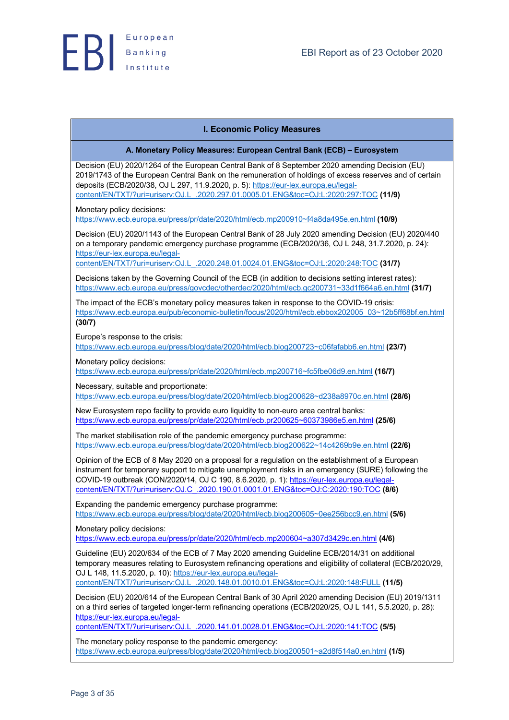### **I. Economic Policy Measures**

#### **A. Monetary Policy Measures: European Central Bank (ECB) – Eurosystem**

Decision (EU) 2020/1264 of the European Central Bank of 8 September 2020 amending Decision (EU) 2019/1743 of the European Central Bank on the remuneration of holdings of excess reserves and of certain deposits (ECB/2020/38, OJ L 297, 11.9.2020, p. 5): https://eur-lex.europa.eu/legalcontent/EN/TXT/?uri=uriserv:OJ.L\_.2020.297.01.0005.01.ENG&toc=OJ:L:2020:297:TOC **(11/9)**

Monetary policy decisions:

https://www.ecb.europa.eu/press/pr/date/2020/html/ecb.mp200910~f4a8da495e.en.html **(10/9)**

Decision (EU) 2020/1143 of the European Central Bank of 28 July 2020 amending Decision (EU) 2020/440 on a temporary pandemic emergency purchase programme (ECB/2020/36, OJ L 248, 31.7.2020, p. 24): https://eur-lex.europa.eu/legal-

content/EN/TXT/?uri=uriserv:OJ.L\_.2020.248.01.0024.01.ENG&toc=OJ:L:2020:248:TOC **(31/7)**

Decisions taken by the Governing Council of the ECB (in addition to decisions setting interest rates): https://www.ecb.europa.eu/press/govcdec/otherdec/2020/html/ecb.gc200731~33d1f664a6.en.html **(31/7)**

The impact of the ECB's monetary policy measures taken in response to the COVID-19 crisis: https://www.ecb.europa.eu/pub/economic-bulletin/focus/2020/html/ecb.ebbox202005\_03~12b5ff68bf.en.html **(30/7)**

Europe's response to the crisis:

https://www.ecb.europa.eu/press/blog/date/2020/html/ecb.blog200723~c06fafabb6.en.html **(23/7)**

Monetary policy decisions:

https://www.ecb.europa.eu/press/pr/date/2020/html/ecb.mp200716~fc5fbe06d9.en.html **(16/7)**

Necessary, suitable and proportionate:

https://www.ecb.europa.eu/press/blog/date/2020/html/ecb.blog200628~d238a8970c.en.html **(28/6)**

New Eurosystem repo facility to provide euro liquidity to non-euro area central banks: https://www.ecb.europa.eu/press/pr/date/2020/html/ecb.pr200625~60373986e5.en.html **(25/6)**

The market stabilisation role of the pandemic emergency purchase programme: https://www.ecb.europa.eu/press/blog/date/2020/html/ecb.blog200622~14c4269b9e.en.html **(22/6)**

Opinion of the ECB of 8 May 2020 on a proposal for a regulation on the establishment of a European instrument for temporary support to mitigate unemployment risks in an emergency (SURE) following the COVID-19 outbreak (CON/2020/14, OJ C 190, 8.6.2020, p. 1): https://eur-lex.europa.eu/legalcontent/EN/TXT/?uri=uriserv:OJ.C\_.2020.190.01.0001.01.ENG&toc=OJ:C:2020:190:TOC **(8/6)**

Expanding the pandemic emergency purchase programme: https://www.ecb.europa.eu/press/blog/date/2020/html/ecb.blog200605~0ee256bcc9.en.html **(5/6)**

Monetary policy decisions:

https://www.ecb.europa.eu/press/pr/date/2020/html/ecb.mp200604~a307d3429c.en.html **(4/6)**

Guideline (EU) 2020/634 of the ECB of 7 May 2020 amending Guideline ECB/2014/31 on additional temporary measures relating to Eurosystem refinancing operations and eligibility of collateral (ECB/2020/29, OJ L 148, 11.5.2020, p. 10): https://eur-lex.europa.eu/legalcontent/EN/TXT/?uri=uriserv:OJ.L\_.2020.148.01.0010.01.ENG&toc=OJ:L:2020:148:FULL **(11/5)**

Decision (EU) 2020/614 of the European Central Bank of 30 April 2020 amending Decision (EU) 2019/1311 on a third series of targeted longer-term refinancing operations (ECB/2020/25, OJ L 141, 5.5.2020, p. 28): https://eur-lex.europa.eu/legal-

content/EN/TXT/?uri=uriserv:OJ.L\_.2020.141.01.0028.01.ENG&toc=OJ:L:2020:141:TOC **(5/5)**

The monetary policy response to the pandemic emergency: https://www.ecb.europa.eu/press/blog/date/2020/html/ecb.blog200501~a2d8f514a0.en.html **(1/5)**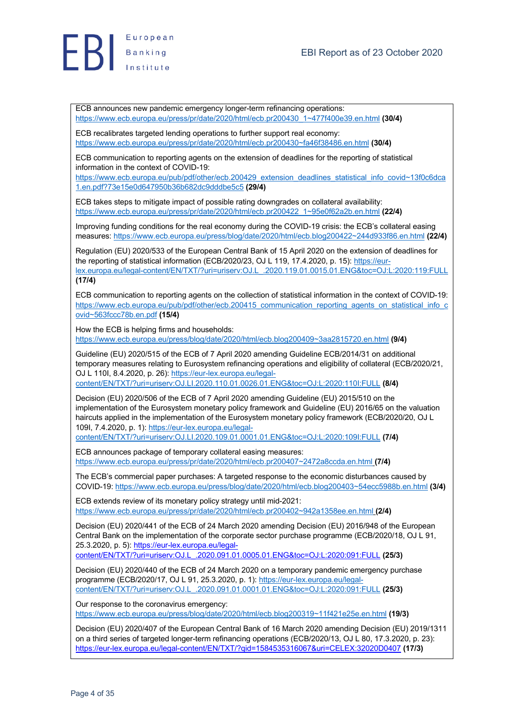

European **EB** Banking

> ECB announces new pandemic emergency longer-term refinancing operations: https://www.ecb.europa.eu/press/pr/date/2020/html/ecb.pr200430\_1~477f400e39.en.html **(30/4)**

ECB recalibrates targeted lending operations to further support real economy: https://www.ecb.europa.eu/press/pr/date/2020/html/ecb.pr200430~fa46f38486.en.html **(30/4)**

ECB communication to reporting agents on the extension of deadlines for the reporting of statistical information in the context of COVID-19:

https://www.ecb.europa.eu/pub/pdf/other/ecb.200429\_extension\_deadlines\_statistical\_info\_covid~13f0c6dca 1.en.pdf?73e15e0d647950b36b682dc9dddbe5c5 **(29/4)**

ECB takes steps to mitigate impact of possible rating downgrades on collateral availability: https://www.ecb.europa.eu/press/pr/date/2020/html/ecb.pr200422\_1~95e0f62a2b.en.html **(22/4)**

Improving funding conditions for the real economy during the COVID-19 crisis: the ECB's collateral easing measures: https://www.ecb.europa.eu/press/blog/date/2020/html/ecb.blog200422~244d933f86.en.html **(22/4)**

Regulation (EU) 2020/533 of the European Central Bank of 15 April 2020 on the extension of deadlines for the reporting of statistical information (ECB/2020/23, OJ L 119, 17.4.2020, p. 15): https://eurlex.europa.eu/legal-content/EN/TXT/?uri=uriserv:OJ.L\_.2020.119.01.0015.01.ENG&toc=OJ:L:2020:119:FULL **(17/4)**

ECB communication to reporting agents on the collection of statistical information in the context of COVID-19: https://www.ecb.europa.eu/pub/pdf/other/ecb.200415\_communication\_reporting\_agents\_on\_statistical\_info\_c ovid~563fccc78b.en.pdf **(15/4)**

How the ECB is helping firms and households: https://www.ecb.europa.eu/press/blog/date/2020/html/ecb.blog200409~3aa2815720.en.html **(9/4)**

Guideline (EU) 2020/515 of the ECB of 7 April 2020 amending Guideline ECB/2014/31 on additional temporary measures relating to Eurosystem refinancing operations and eligibility of collateral (ECB/2020/21, OJ L 110I, 8.4.2020, p. 26): https://eur-lex.europa.eu/legalcontent/EN/TXT/?uri=uriserv:OJ.LI.2020.110.01.0026.01.ENG&toc=OJ:L:2020:110I:FULL **(8/4)**

Decision (EU) 2020/506 of the ECB of 7 April 2020 amending Guideline (EU) 2015/510 on the implementation of the Eurosystem monetary policy framework and Guideline (EU) 2016/65 on the valuation haircuts applied in the implementation of the Eurosystem monetary policy framework (ECB/2020/20, OJ L 109I, 7.4.2020, p. 1): https://eur-lex.europa.eu/legal-

content/EN/TXT/?uri=uriserv:OJ.LI.2020.109.01.0001.01.ENG&toc=OJ:L:2020:109I:FULL **(7/4)**

ECB announces package of temporary collateral easing measures: https://www.ecb.europa.eu/press/pr/date/2020/html/ecb.pr200407~2472a8ccda.en.html **(7/4)**

The ECB's commercial paper purchases: A targeted response to the economic disturbances caused by COVID-19: https://www.ecb.europa.eu/press/blog/date/2020/html/ecb.blog200403~54ecc5988b.en.html **(3/4)**

ECB extends review of its monetary policy strategy until mid-2021: https://www.ecb.europa.eu/press/pr/date/2020/html/ecb.pr200402~942a1358ee.en.html **(2/4)**

Decision (EU) 2020/441 of the ECB of 24 March 2020 amending Decision (EU) 2016/948 of the European Central Bank on the implementation of the corporate sector purchase programme (ECB/2020/18, OJ L 91, 25.3.2020, p. 5): https://eur-lex.europa.eu/legalcontent/EN/TXT/?uri=uriserv:OJ.L\_.2020.091.01.0005.01.ENG&toc=OJ:L:2020:091:FULL **(25/3)**

Decision (EU) 2020/440 of the ECB of 24 March 2020 on a temporary pandemic emergency purchase programme (ECB/2020/17, OJ L 91, 25.3.2020, p. 1): https://eur-lex.europa.eu/legalcontent/EN/TXT/?uri=uriserv:OJ.L\_.2020.091.01.0001.01.ENG&toc=OJ:L:2020:091:FULL **(25/3)**

Our response to the coronavirus emergency: https://www.ecb.europa.eu/press/blog/date/2020/html/ecb.blog200319~11f421e25e.en.html **(19/3)**

Decision (EU) 2020/407 of the European Central Bank of 16 March 2020 amending Decision (EU) 2019/1311 on a third series of targeted longer-term refinancing operations (ECB/2020/13, OJ L 80, 17.3.2020, p. 23): https://eur-lex.europa.eu/legal-content/EN/TXT/?qid=1584535316067&uri=CELEX:32020D0407 **(17/3)**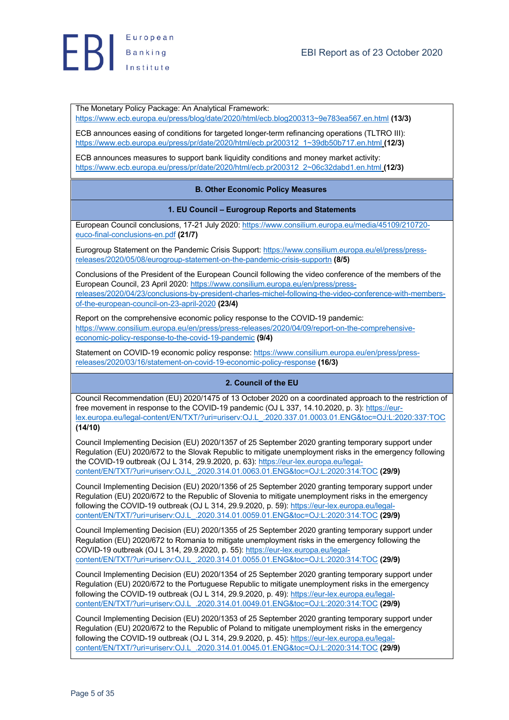

The Monetary Policy Package: An Analytical Framework:

https://www.ecb.europa.eu/press/blog/date/2020/html/ecb.blog200313~9e783ea567.en.html **(13/3)**

ECB announces easing of conditions for targeted longer-term refinancing operations (TLTRO III): https://www.ecb.europa.eu/press/pr/date/2020/html/ecb.pr200312\_1~39db50b717.en.html **(12/3)**

ECB announces measures to support bank liquidity conditions and money market activity: https://www.ecb.europa.eu/press/pr/date/2020/html/ecb.pr200312\_2~06c32dabd1.en.html **(12/3)**

#### **B. Other Economic Policy Measures**

#### **1. EU Council – Eurogroup Reports and Statements**

European Council conclusions, 17-21 July 2020: https://www.consilium.europa.eu/media/45109/210720 euco-final-conclusions-en.pdf **(21/7)**

Eurogroup Statement on the Pandemic Crisis Support: https://www.consilium.europa.eu/el/press/pressreleases/2020/05/08/eurogroup-statement-on-the-pandemic-crisis-supportn **(8/5)**

Conclusions of the President of the European Council following the video conference of the members of the European Council, 23 April 2020: https://www.consilium.europa.eu/en/press/pressreleases/2020/04/23/conclusions-by-president-charles-michel-following-the-video-conference-with-membersof-the-european-council-on-23-april-2020 **(23/4)**

Report on the comprehensive economic policy response to the COVID-19 pandemic: https://www.consilium.europa.eu/en/press/press-releases/2020/04/09/report-on-the-comprehensiveeconomic-policy-response-to-the-covid-19-pandemic **(9/4)**

Statement on COVID-19 economic policy response: https://www.consilium.europa.eu/en/press/pressreleases/2020/03/16/statement-on-covid-19-economic-policy-response **(16/3)**

#### **2. Council of the EU**

Council Recommendation (EU) 2020/1475 of 13 October 2020 on a coordinated approach to the restriction of free movement in response to the COVID-19 pandemic (OJ L 337, 14, 10, 2020, p. 3); https://eurlex.europa.eu/legal-content/EN/TXT/?uri=uriserv:OJ.L\_.2020.337.01.0003.01.ENG&toc=OJ:L:2020:337:TOC **(14/10)**

Council Implementing Decision (EU) 2020/1357 of 25 September 2020 granting temporary support under Regulation (EU) 2020/672 to the Slovak Republic to mitigate unemployment risks in the emergency following the COVID-19 outbreak (OJ L 314, 29.9.2020, p. 63): https://eur-lex.europa.eu/legalcontent/EN/TXT/?uri=uriserv:OJ.L\_.2020.314.01.0063.01.ENG&toc=OJ:L:2020:314:TOC **(29/9)**

Council Implementing Decision (EU) 2020/1356 of 25 September 2020 granting temporary support under Regulation (EU) 2020/672 to the Republic of Slovenia to mitigate unemployment risks in the emergency following the COVID-19 outbreak (OJ L 314, 29.9.2020, p. 59): https://eur-lex.europa.eu/legalcontent/EN/TXT/?uri=uriserv:OJ.L\_.2020.314.01.0059.01.ENG&toc=OJ:L:2020:314:TOC **(29/9)**

Council Implementing Decision (EU) 2020/1355 of 25 September 2020 granting temporary support under Regulation (EU) 2020/672 to Romania to mitigate unemployment risks in the emergency following the COVID-19 outbreak (OJ L 314, 29.9.2020, p. 55): https://eur-lex.europa.eu/legalcontent/EN/TXT/?uri=uriserv:OJ.L\_.2020.314.01.0055.01.ENG&toc=OJ:L:2020:314:TOC **(29/9)**

Council Implementing Decision (EU) 2020/1354 of 25 September 2020 granting temporary support under Regulation (EU) 2020/672 to the Portuguese Republic to mitigate unemployment risks in the emergency following the COVID-19 outbreak (OJ L 314, 29.9.2020, p. 49): https://eur-lex.europa.eu/legalcontent/EN/TXT/?uri=uriserv:OJ.L\_.2020.314.01.0049.01.ENG&toc=OJ:L:2020:314:TOC **(29/9)**

Council Implementing Decision (EU) 2020/1353 of 25 September 2020 granting temporary support under Regulation (EU) 2020/672 to the Republic of Poland to mitigate unemployment risks in the emergency following the COVID-19 outbreak (OJ L 314, 29.9.2020, p. 45): https://eur-lex.europa.eu/legalcontent/EN/TXT/?uri=uriserv:OJ.L\_.2020.314.01.0045.01.ENG&toc=OJ:L:2020:314:TOC **(29/9)**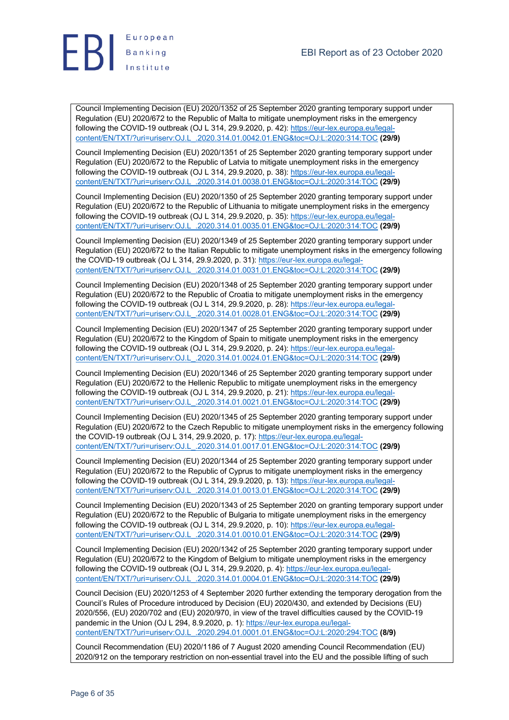

Council Implementing Decision (EU) 2020/1352 of 25 September 2020 granting temporary support under Regulation (EU) 2020/672 to the Republic of Malta to mitigate unemployment risks in the emergency following the COVID-19 outbreak (OJ L 314, 29.9.2020, p. 42): https://eur-lex.europa.eu/legalcontent/EN/TXT/?uri=uriserv:OJ.L\_.2020.314.01.0042.01.ENG&toc=OJ:L:2020:314:TOC **(29/9)**

Council Implementing Decision (EU) 2020/1351 of 25 September 2020 granting temporary support under Regulation (EU) 2020/672 to the Republic of Latvia to mitigate unemployment risks in the emergency following the COVID-19 outbreak (OJ L 314, 29.9.2020, p. 38): https://eur-lex.europa.eu/legalcontent/EN/TXT/?uri=uriserv:OJ.L\_.2020.314.01.0038.01.ENG&toc=OJ:L:2020:314:TOC **(29/9)**

Council Implementing Decision (EU) 2020/1350 of 25 September 2020 granting temporary support under Regulation (EU) 2020/672 to the Republic of Lithuania to mitigate unemployment risks in the emergency following the COVID-19 outbreak (OJ L 314, 29.9.2020, p. 35): https://eur-lex.europa.eu/legalcontent/EN/TXT/?uri=uriserv:OJ.L\_.2020.314.01.0035.01.ENG&toc=OJ:L:2020:314:TOC **(29/9)**

Council Implementing Decision (EU) 2020/1349 of 25 September 2020 granting temporary support under Regulation (EU) 2020/672 to the Italian Republic to mitigate unemployment risks in the emergency following the COVID-19 outbreak (OJ L 314, 29.9.2020, p. 31): https://eur-lex.europa.eu/legalcontent/EN/TXT/?uri=uriserv:OJ.L\_.2020.314.01.0031.01.ENG&toc=OJ:L:2020:314:TOC **(29/9)**

Council Implementing Decision (EU) 2020/1348 of 25 September 2020 granting temporary support under Regulation (EU) 2020/672 to the Republic of Croatia to mitigate unemployment risks in the emergency following the COVID-19 outbreak (OJ L 314, 29.9.2020, p. 28): https://eur-lex.europa.eu/legalcontent/EN/TXT/?uri=uriserv:OJ.L\_.2020.314.01.0028.01.ENG&toc=OJ:L:2020:314:TOC **(29/9)**

Council Implementing Decision (EU) 2020/1347 of 25 September 2020 granting temporary support under Regulation (EU) 2020/672 to the Kingdom of Spain to mitigate unemployment risks in the emergency following the COVID-19 outbreak (OJ L 314, 29.9.2020, p. 24): https://eur-lex.europa.eu/legalcontent/EN/TXT/?uri=uriserv:OJ.L\_.2020.314.01.0024.01.ENG&toc=OJ:L:2020:314:TOC **(29/9)**

Council Implementing Decision (EU) 2020/1346 of 25 September 2020 granting temporary support under Regulation (EU) 2020/672 to the Hellenic Republic to mitigate unemployment risks in the emergency following the COVID-19 outbreak (OJ L 314, 29.9.2020, p. 21): https://eur-lex.europa.eu/legalcontent/EN/TXT/?uri=uriserv:OJ.L\_.2020.314.01.0021.01.ENG&toc=OJ:L:2020:314:TOC **(29/9)**

Council Implementing Decision (EU) 2020/1345 of 25 September 2020 granting temporary support under Regulation (EU) 2020/672 to the Czech Republic to mitigate unemployment risks in the emergency following the COVID-19 outbreak (OJ L 314, 29.9.2020, p. 17): https://eur-lex.europa.eu/legalcontent/EN/TXT/?uri=uriserv:OJ.L\_.2020.314.01.0017.01.ENG&toc=OJ:L:2020:314:TOC **(29/9)**

Council Implementing Decision (EU) 2020/1344 of 25 September 2020 granting temporary support under Regulation (EU) 2020/672 to the Republic of Cyprus to mitigate unemployment risks in the emergency following the COVID-19 outbreak (OJ L 314, 29.9.2020, p. 13): https://eur-lex.europa.eu/legalcontent/EN/TXT/?uri=uriserv:OJ.L\_.2020.314.01.0013.01.ENG&toc=OJ:L:2020:314:TOC **(29/9)**

Council Implementing Decision (EU) 2020/1343 of 25 September 2020 on granting temporary support under Regulation (EU) 2020/672 to the Republic of Bulgaria to mitigate unemployment risks in the emergency following the COVID-19 outbreak (OJ L 314, 29.9.2020, p. 10): https://eur-lex.europa.eu/legalcontent/EN/TXT/?uri=uriserv:OJ.L\_.2020.314.01.0010.01.ENG&toc=OJ:L:2020:314:TOC **(29/9)**

Council Implementing Decision (EU) 2020/1342 of 25 September 2020 granting temporary support under Regulation (EU) 2020/672 to the Kingdom of Belgium to mitigate unemployment risks in the emergency following the COVID-19 outbreak (OJ L 314, 29.9.2020, p. 4): https://eur-lex.europa.eu/legalcontent/EN/TXT/?uri=uriserv:OJ.L\_.2020.314.01.0004.01.ENG&toc=OJ:L:2020:314:TOC **(29/9)**

Council Decision (EU) 2020/1253 of 4 September 2020 further extending the temporary derogation from the Council's Rules of Procedure introduced by Decision (EU) 2020/430, and extended by Decisions (EU) 2020/556, (EU) 2020/702 and (EU) 2020/970, in view of the travel difficulties caused by the COVID-19 pandemic in the Union (OJ L 294, 8.9.2020, p. 1): https://eur-lex.europa.eu/legalcontent/EN/TXT/?uri=uriserv:OJ.L\_.2020.294.01.0001.01.ENG&toc=OJ:L:2020:294:TOC **(8/9)**

Council Recommendation (EU) 2020/1186 of 7 August 2020 amending Council Recommendation (EU) 2020/912 on the temporary restriction on non-essential travel into the EU and the possible lifting of such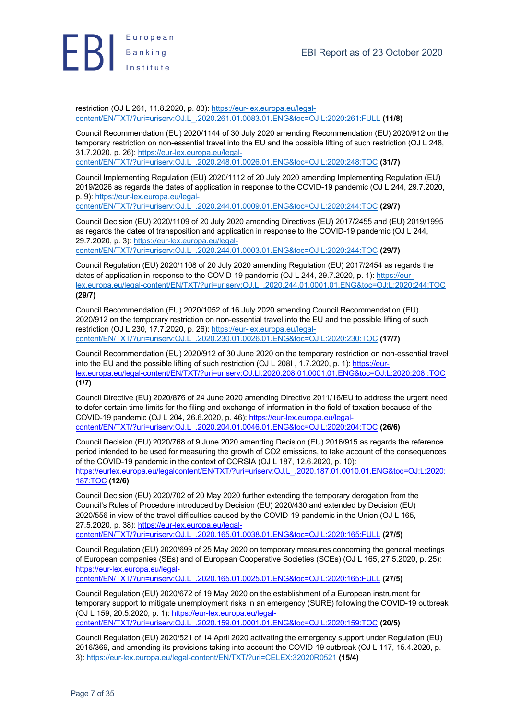

restriction (OJ L 261, 11.8.2020, p. 83): https://eur-lex.europa.eu/legalcontent/EN/TXT/?uri=uriserv:OJ.L\_.2020.261.01.0083.01.ENG&toc=OJ:L:2020:261:FULL **(11/8)**

Council Recommendation (EU) 2020/1144 of 30 July 2020 amending Recommendation (EU) 2020/912 on the temporary restriction on non-essential travel into the EU and the possible lifting of such restriction (OJ L 248, 31.7.2020, p. 26): https://eur-lex.europa.eu/legalcontent/EN/TXT/?uri=uriserv:OJ.L\_.2020.248.01.0026.01.ENG&toc=OJ:L:2020:248:TOC **(31/7)**

Council Implementing Regulation (EU) 2020/1112 of 20 July 2020 amending Implementing Regulation (EU) 2019/2026 as regards the dates of application in response to the COVID-19 pandemic (OJ L 244, 29.7.2020, p. 9): https://eur-lex.europa.eu/legal-

content/EN/TXT/?uri=uriserv:OJ.L\_.2020.244.01.0009.01.ENG&toc=OJ:L:2020:244:TOC **(29/7)**

Council Decision (EU) 2020/1109 of 20 July 2020 amending Directives (EU) 2017/2455 and (EU) 2019/1995 as regards the dates of transposition and application in response to the COVID-19 pandemic (OJ L 244, 29.7.2020, p. 3): https://eur-lex.europa.eu/legalcontent/EN/TXT/?uri=uriserv:OJ.L\_.2020.244.01.0003.01.ENG&toc=OJ:L:2020:244:TOC **(29/7)**

Council Regulation (EU) 2020/1108 of 20 July 2020 amending Regulation (EU) 2017/2454 as regards the dates of application in response to the COVID-19 pandemic (OJ L 244, 29.7.2020, p. 1): https://eurlex.europa.eu/legal-content/EN/TXT/?uri=uriserv:OJ.L\_.2020.244.01.0001.01.ENG&toc=OJ:L:2020:244:TOC **(29/7)**

Council Recommendation (EU) 2020/1052 of 16 July 2020 amending Council Recommendation (EU) 2020/912 on the temporary restriction on non-essential travel into the EU and the possible lifting of such restriction (OJ L 230, 17.7.2020, p. 26): https://eur-lex.europa.eu/legalcontent/EN/TXT/?uri=uriserv:OJ.L\_.2020.230.01.0026.01.ENG&toc=OJ:L:2020:230:TOC **(17/7)**

Council Recommendation (EU) 2020/912 of 30 June 2020 on the temporary restriction on non-essential travel into the EU and the possible lifting of such restriction (OJ L 208I, 1.7.2020, p. 1): https://eurlex.europa.eu/legal-content/EN/TXT/?uri=uriserv:OJ.LI.2020.208.01.0001.01.ENG&toc=OJ:L:2020:208I:TOC **(1/7)**

Council Directive (EU) 2020/876 of 24 June 2020 amending Directive 2011/16/EU to address the urgent need to defer certain time limits for the filing and exchange of information in the field of taxation because of the COVID-19 pandemic (OJ L 204, 26.6.2020, p. 46): https://eur-lex.europa.eu/legalcontent/EN/TXT/?uri=uriserv:OJ.L\_.2020.204.01.0046.01.ENG&toc=OJ:L:2020:204:TOC **(26/6)**

Council Decision (EU) 2020/768 of 9 June 2020 amending Decision (EU) 2016/915 as regards the reference period intended to be used for measuring the growth of CO2 emissions, to take account of the consequences of the COVID-19 pandemic in the context of CORSIA (OJ L 187, 12.6.2020, p. 10): https://eurlex.europa.eu/legalcontent/EN/TXT/?uri=uriserv:OJ.L\_.2020.187.01.0010.01.ENG&toc=OJ:L:2020: 187:TOC **(12/6)**

Council Decision (EU) 2020/702 of 20 May 2020 further extending the temporary derogation from the Council's Rules of Procedure introduced by Decision (EU) 2020/430 and extended by Decision (EU) 2020/556 in view of the travel difficulties caused by the COVID-19 pandemic in the Union (OJ L 165, 27.5.2020, p. 38): https://eur-lex.europa.eu/legal-

content/EN/TXT/?uri=uriserv:OJ.L\_.2020.165.01.0038.01.ENG&toc=OJ:L:2020:165:FULL **(27/5)**

Council Regulation (EU) 2020/699 of 25 May 2020 on temporary measures concerning the general meetings of European companies (SEs) and of European Cooperative Societies (SCEs) (OJ L 165, 27.5.2020, p. 25): https://eur-lex.europa.eu/legal-

content/EN/TXT/?uri=uriserv:OJ.L\_.2020.165.01.0025.01.ENG&toc=OJ:L:2020:165:FULL **(27/5)**

Council Regulation (EU) 2020/672 of 19 May 2020 on the establishment of a European instrument for temporary support to mitigate unemployment risks in an emergency (SURE) following the COVID-19 outbreak (OJ L 159, 20.5.2020, p. 1): https://eur-lex.europa.eu/legalcontent/EN/TXT/?uri=uriserv:OJ.L\_.2020.159.01.0001.01.ENG&toc=OJ:L:2020:159:TOC **(20/5)**

Council Regulation (EU) 2020/521 of 14 April 2020 activating the emergency support under Regulation (EU) 2016/369, and amending its provisions taking into account the COVID-19 outbreak (OJ L 117, 15.4.2020, p. 3): https://eur-lex.europa.eu/legal-content/EN/TXT/?uri=CELEX:32020R0521 **(15/4)**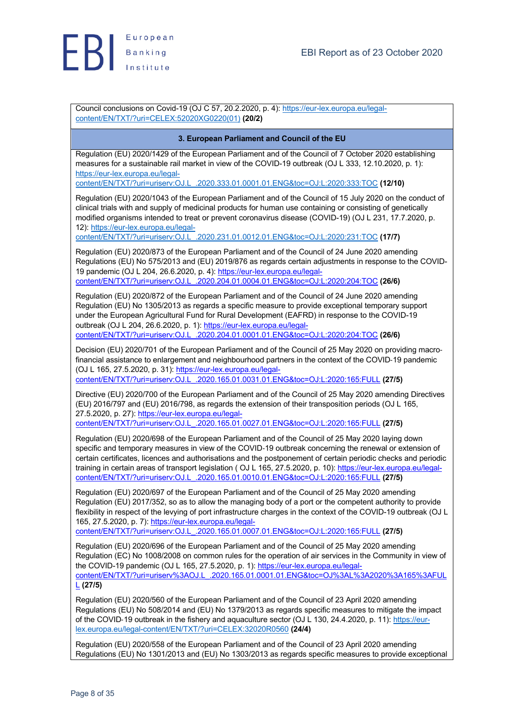

Council conclusions on Covid-19 (OJ C 57, 20.2.2020, p. 4): https://eur-lex.europa.eu/legalcontent/EN/TXT/?uri=CELEX:52020XG0220(01) **(20/2)**

### **3. European Parliament and Council of the EU**

Regulation (EU) 2020/1429 of the European Parliament and of the Council of 7 October 2020 establishing measures for a sustainable rail market in view of the COVID-19 outbreak (OJ L 333, 12.10.2020, p. 1): https://eur-lex.europa.eu/legal-

content/EN/TXT/?uri=uriserv:OJ.L\_.2020.333.01.0001.01.ENG&toc=OJ:L:2020:333:TOC **(12/10)**

Regulation (EU) 2020/1043 of the European Parliament and of the Council of 15 July 2020 on the conduct of clinical trials with and supply of medicinal products for human use containing or consisting of genetically modified organisms intended to treat or prevent coronavirus disease (COVID-19) (OJ L 231, 17.7.2020, p. 12): https://eur-lex.europa.eu/legal-

content/EN/TXT/?uri=uriserv:OJ.L\_.2020.231.01.0012.01.ENG&toc=OJ:L:2020:231:TOC **(17/7)**

Regulation (EU) 2020/873 of the European Parliament and of the Council of 24 June 2020 amending Regulations (EU) No 575/2013 and (EU) 2019/876 as regards certain adjustments in response to the COVID-19 pandemic (OJ L 204, 26.6.2020, p. 4): https://eur-lex.europa.eu/legalcontent/EN/TXT/?uri=uriserv:OJ.L\_.2020.204.01.0004.01.ENG&toc=OJ:L:2020:204:TOC **(26/6)**

Regulation (EU) 2020/872 of the European Parliament and of the Council of 24 June 2020 amending Regulation (EU) No 1305/2013 as regards a specific measure to provide exceptional temporary support under the European Agricultural Fund for Rural Development (EAFRD) in response to the COVID-19 outbreak (OJ L 204, 26.6.2020, p. 1): https://eur-lex.europa.eu/legalcontent/EN/TXT/?uri=uriserv:OJ.L\_.2020.204.01.0001.01.ENG&toc=OJ:L:2020:204:TOC **(26/6)**

Decision (EU) 2020/701 of the European Parliament and of the Council of 25 May 2020 on providing macro-

financial assistance to enlargement and neighbourhood partners in the context of the COVID-19 pandemic (OJ L 165, 27.5.2020, p. 31): https://eur-lex.europa.eu/legal-

content/EN/TXT/?uri=uriserv:OJ.L\_.2020.165.01.0031.01.ENG&toc=OJ:L:2020:165:FULL **(27/5)**

Directive (EU) 2020/700 of the European Parliament and of the Council of 25 May 2020 amending Directives (EU) 2016/797 and (EU) 2016/798, as regards the extension of their transposition periods (OJ L 165, 27.5.2020, p. 27): https://eur-lex.europa.eu/legalcontent/EN/TXT/?uri=uriserv:OJ.L\_.2020.165.01.0027.01.ENG&toc=OJ:L:2020:165:FULL **(27/5)**

Regulation (EU) 2020/698 of the European Parliament and of the Council of 25 May 2020 laying down specific and temporary measures in view of the COVID-19 outbreak concerning the renewal or extension of certain certificates, licences and authorisations and the postponement of certain periodic checks and periodic training in certain areas of transport legislation ( OJ L 165, 27.5.2020, p. 10): https://eur-lex.europa.eu/legal-

content/EN/TXT/?uri=uriserv:OJ.L\_.2020.165.01.0010.01.ENG&toc=OJ:L:2020:165:FULL **(27/5)**

Regulation (EU) 2020/697 of the European Parliament and of the Council of 25 May 2020 amending Regulation (EU) 2017/352, so as to allow the managing body of a port or the competent authority to provide flexibility in respect of the levying of port infrastructure charges in the context of the COVID-19 outbreak (OJ L 165, 27.5.2020, p. 7): https://eur-lex.europa.eu/legal-

content/EN/TXT/?uri=uriserv:OJ.L\_.2020.165.01.0007.01.ENG&toc=OJ:L:2020:165:FULL **(27/5)**

Regulation (EU) 2020/696 of the European Parliament and of the Council of 25 May 2020 amending Regulation (EC) No 1008/2008 on common rules for the operation of air services in the Community in view of the COVID-19 pandemic (OJ L 165, 27.5.2020, p. 1): https://eur-lex.europa.eu/legalcontent/EN/TXT/?uri=uriserv%3AOJ.L\_.2020.165.01.0001.01.ENG&toc=OJ%3AL%3A2020%3A165%3AFUL L **(27/5)**

Regulation (EU) 2020/560 of the European Parliament and of the Council of 23 April 2020 amending Regulations (EU) No 508/2014 and (EU) No 1379/2013 as regards specific measures to mitigate the impact of the COVID-19 outbreak in the fishery and aquaculture sector (OJ L 130, 24.4.2020, p. 11): https://eurlex.europa.eu/legal-content/EN/TXT/?uri=CELEX:32020R0560 **(24/4)**

Regulation (EU) 2020/558 of the European Parliament and of the Council of 23 April 2020 amending Regulations (EU) No 1301/2013 and (EU) No 1303/2013 as regards specific measures to provide exceptional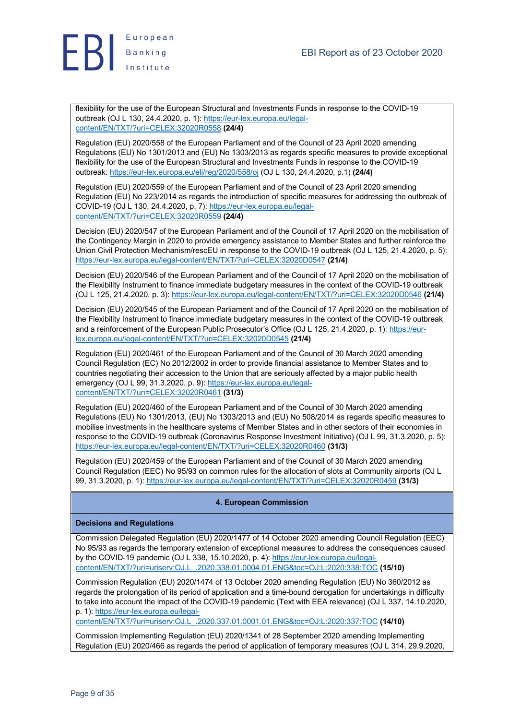

flexibility for the use of the European Structural and Investments Funds in response to the COVID-19 outbreak (OJ L 130, 24.4.2020, p. 1): https://eur-lex.europa.eu/legalcontent/EN/TXT/?uri=CELEX:32020R0558 **(24/4)**

Regulation (EU) 2020/558 of the European Parliament and of the Council of 23 April 2020 amending Regulations (EU) No 1301/2013 and (EU) No 1303/2013 as regards specific measures to provide exceptional flexibility for the use of the European Structural and Investments Funds in response to the COVID-19 outbreak: https://eur-lex.europa.eu/eli/reg/2020/558/oj (OJ L 130, 24.4.2020, p.1) **(24/4)**

Regulation (EU) 2020/559 of the European Parliament and of the Council of 23 April 2020 amending Regulation (EU) No 223/2014 as regards the introduction of specific measures for addressing the outbreak of COVID-19 (OJ L 130, 24.4.2020, p. 7): https://eur-lex.europa.eu/legalcontent/EN/TXT/?uri=CELEX:32020R0559 **(24/4)**

Decision (EU) 2020/547 of the European Parliament and of the Council of 17 April 2020 on the mobilisation of the Contingency Margin in 2020 to provide emergency assistance to Member States and further reinforce the Union Civil Protection Mechanism/rescEU in response to the COVID-19 outbreak (OJ L 125, 21.4.2020, p. 5): https://eur-lex.europa.eu/legal-content/EN/TXT/?uri=CELEX:32020D0547 **(21/4)**

Decision (EU) 2020/546 of the European Parliament and of the Council of 17 April 2020 on the mobilisation of the Flexibility Instrument to finance immediate budgetary measures in the context of the COVID-19 outbreak (OJ L 125, 21.4.2020, p. 3): https://eur-lex.europa.eu/legal-content/EN/TXT/?uri=CELEX:32020D0546 **(21/4)**

Decision (EU) 2020/545 of the European Parliament and of the Council of 17 April 2020 on the mobilisation of the Flexibility Instrument to finance immediate budgetary measures in the context of the COVID-19 outbreak and a reinforcement of the European Public Prosecutor's Office (OJ L 125, 21.4.2020, p. 1): https://eurlex.europa.eu/legal-content/EN/TXT/?uri=CELEX:32020D0545 **(21/4)**

Regulation (EU) 2020/461 of the European Parliament and of the Council of 30 March 2020 amending Council Regulation (EC) No 2012/2002 in order to provide financial assistance to Member States and to countries negotiating their accession to the Union that are seriously affected by a major public health emergency (OJ L 99, 31.3.2020, p. 9): https://eur-lex.europa.eu/legalcontent/EN/TXT/?uri=CELEX:32020R0461 **(31/3)**

Regulation (EU) 2020/460 of the European Parliament and of the Council of 30 March 2020 amending Regulations (EU) No 1301/2013, (EU) No 1303/2013 and (EU) No 508/2014 as regards specific measures to mobilise investments in the healthcare systems of Member States and in other sectors of their economies in response to the COVID-19 outbreak (Coronavirus Response Investment Initiative) (OJ L 99, 31.3.2020, p. 5): https://eur-lex.europa.eu/legal-content/EN/TXT/?uri=CELEX:32020R0460 **(31/3)**

Regulation (EU) 2020/459 of the European Parliament and of the Council of 30 March 2020 amending Council Regulation (EEC) No 95/93 on common rules for the allocation of slots at Community airports (OJ L 99, 31.3.2020, p. 1): https://eur-lex.europa.eu/legal-content/EN/TXT/?uri=CELEX:32020R0459 **(31/3)**

#### **4. European Commission**

#### **Decisions and Regulations**

Commission Delegated Regulation (EU) 2020/1477 of 14 October 2020 amending Council Regulation (EEC) No 95/93 as regards the temporary extension of exceptional measures to address the consequences caused by the COVID-19 pandemic (OJ L 338, 15.10.2020, p. 4): https://eur-lex.europa.eu/legalcontent/EN/TXT/?uri=uriserv:OJ.L\_.2020.338.01.0004.01.ENG&toc=OJ:L:2020:338:TOC **(15/10)**

Commission Regulation (EU) 2020/1474 of 13 October 2020 amending Regulation (EU) No 360/2012 as regards the prolongation of its period of application and a time-bound derogation for undertakings in difficulty to take into account the impact of the COVID-19 pandemic (Text with EEA relevance) (OJ L 337, 14.10.2020, p. 1): https://eur-lex.europa.eu/legal-

content/EN/TXT/?uri=uriserv:OJ.L\_.2020.337.01.0001.01.ENG&toc=OJ:L:2020:337:TOC **(14/10)**

Commission Implementing Regulation (EU) 2020/1341 of 28 September 2020 amending Implementing Regulation (EU) 2020/466 as regards the period of application of temporary measures (OJ L 314, 29.9.2020,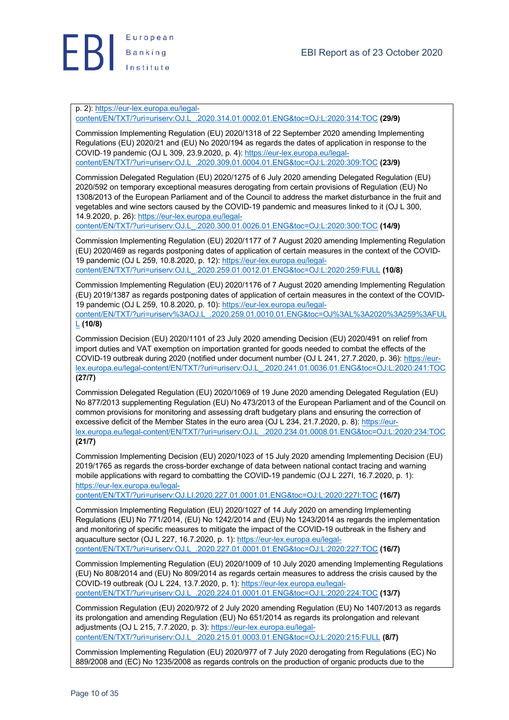

p. 2): https://eur-lex.europa.eu/legal-

content/EN/TXT/?uri=uriserv:OJ.L\_.2020.314.01.0002.01.ENG&toc=OJ:L:2020:314:TOC **(29/9)**

Commission Implementing Regulation (EU) 2020/1318 of 22 September 2020 amending Implementing Regulations (EU) 2020/21 and (EU) No 2020/194 as regards the dates of application in response to the COVID-19 pandemic (OJ L 309, 23.9.2020, p. 4): https://eur-lex.europa.eu/legalcontent/EN/TXT/?uri=uriserv:OJ.L\_.2020.309.01.0004.01.ENG&toc=OJ:L:2020:309:TOC **(23/9)**

Commission Delegated Regulation (EU) 2020/1275 of 6 July 2020 amending Delegated Regulation (EU) 2020/592 on temporary exceptional measures derogating from certain provisions of Regulation (EU) No 1308/2013 of the European Parliament and of the Council to address the market disturbance in the fruit and vegetables and wine sectors caused by the COVID-19 pandemic and measures linked to it (OJ L 300, 14.9.2020, p. 26): https://eur-lex.europa.eu/legal-

content/EN/TXT/?uri=uriserv:OJ.L\_.2020.300.01.0026.01.ENG&toc=OJ:L:2020:300:TOC **(14/9)**

Commission Implementing Regulation (EU) 2020/1177 of 7 August 2020 amending Implementing Regulation (EU) 2020/469 as regards postponing dates of application of certain measures in the context of the COVID-19 pandemic (OJ L 259, 10.8.2020, p. 12): https://eur-lex.europa.eu/legalcontent/EN/TXT/?uri=uriserv:OJ.L\_.2020.259.01.0012.01.ENG&toc=OJ:L:2020:259:FULL **(10/8)**

Commission Implementing Regulation (EU) 2020/1176 of 7 August 2020 amending Implementing Regulation (EU) 2019/1387 as regards postponing dates of application of certain measures in the context of the COVID-19 pandemic (OJ L 259, 10.8.2020, p. 10): https://eur-lex.europa.eu/legal-

content/EN/TXT/?uri=uriserv%3AOJ.L\_.2020.259.01.0010.01.ENG&toc=OJ%3AL%3A2020%3A259%3AFUL L **(10/8)**

Commission Decision (EU) 2020/1101 of 23 July 2020 amending Decision (EU) 2020/491 on relief from import duties and VAT exemption on importation granted for goods needed to combat the effects of the COVID-19 outbreak during 2020 (notified under document number (OJ L 241, 27.7.2020, p. 36): https://eurlex.europa.eu/legal-content/EN/TXT/?uri=uriserv:OJ.L\_.2020.241.01.0036.01.ENG&toc=OJ:L:2020:241:TOC **(27/7)**

Commission Delegated Regulation (EU) 2020/1069 of 19 June 2020 amending Delegated Regulation (EU) No 877/2013 supplementing Regulation (EU) No 473/2013 of the European Parliament and of the Council on common provisions for monitoring and assessing draft budgetary plans and ensuring the correction of excessive deficit of the Member States in the euro area (OJ L 234, 21.7.2020, p. 8): https://eurlex.europa.eu/legal-content/EN/TXT/?uri=uriserv:OJ.L\_.2020.234.01.0008.01.ENG&toc=OJ:L:2020:234:TOC **(21/7)**

Commission Implementing Decision (EU) 2020/1023 of 15 July 2020 amending Implementing Decision (EU) 2019/1765 as regards the cross-border exchange of data between national contact tracing and warning mobile applications with regard to combatting the COVID-19 pandemic (OJ L 227I, 16.7.2020, p. 1): https://eur-lex.europa.eu/legal-

content/EN/TXT/?uri=uriserv:OJ.LI.2020.227.01.0001.01.ENG&toc=OJ:L:2020:227I:TOC **(16/7)**

Commission Implementing Regulation (EU) 2020/1027 of 14 July 2020 on amending Implementing Regulations (EU) No 771/2014, (EU) No 1242/2014 and (EU) No 1243/2014 as regards the implementation and monitoring of specific measures to mitigate the impact of the COVID-19 outbreak in the fishery and aquaculture sector (OJ L 227, 16.7.2020, p. 1): https://eur-lex.europa.eu/legalcontent/EN/TXT/?uri=uriserv:OJ.L\_.2020.227.01.0001.01.ENG&toc=OJ:L:2020:227:TOC **(16/7)**

Commission Implementing Regulation (EU) 2020/1009 of 10 July 2020 amending Implementing Regulations (EU) No 808/2014 and (EU) No 809/2014 as regards certain measures to address the crisis caused by the COVID-19 outbreak (OJ L 224, 13.7.2020, p. 1): https://eur-lex.europa.eu/legalcontent/EN/TXT/?uri=uriserv:OJ.L\_.2020.224.01.0001.01.ENG&toc=OJ:L:2020:224:TOC **(13/7)**

Commission Regulation (EU) 2020/972 of 2 July 2020 amending Regulation (EU) No 1407/2013 as regards its prolongation and amending Regulation (EU) No 651/2014 as regards its prolongation and relevant adjustments (OJ L 215, 7.7.2020, p. 3): https://eur-lex.europa.eu/legalcontent/EN/TXT/?uri=uriserv:OJ.L\_.2020.215.01.0003.01.ENG&toc=OJ:L:2020:215:FULL **(8/7)**

Commission Implementing Regulation (EU) 2020/977 of 7 July 2020 derogating from Regulations (EC) No 889/2008 and (EC) No 1235/2008 as regards controls on the production of organic products due to the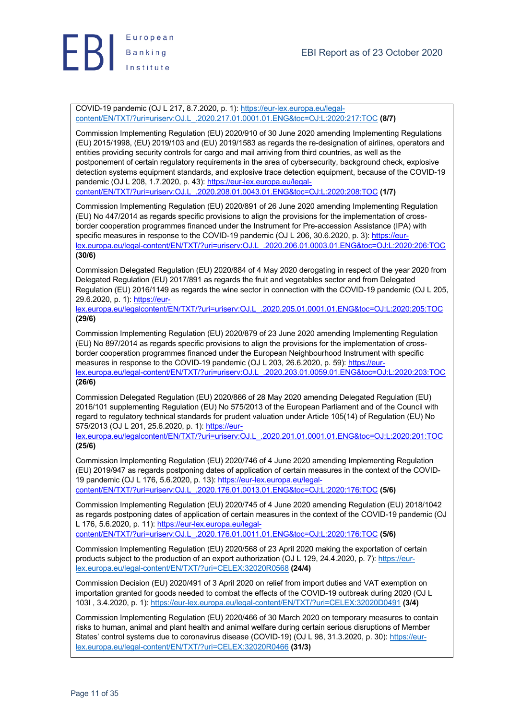

COVID-19 pandemic (OJ L 217, 8.7.2020, p. 1): https://eur-lex.europa.eu/legalcontent/EN/TXT/?uri=uriserv:OJ.L\_.2020.217.01.0001.01.ENG&toc=OJ:L:2020:217:TOC **(8/7)**

Commission Implementing Regulation (EU) 2020/910 of 30 June 2020 amending Implementing Regulations (EU) 2015/1998, (EU) 2019/103 and (EU) 2019/1583 as regards the re-designation of airlines, operators and entities providing security controls for cargo and mail arriving from third countries, as well as the postponement of certain regulatory requirements in the area of cybersecurity, background check, explosive detection systems equipment standards, and explosive trace detection equipment, because of the COVID-19 pandemic (OJ L 208, 1.7.2020, p. 43): https://eur-lex.europa.eu/legalcontent/EN/TXT/?uri=uriserv:OJ.L\_.2020.208.01.0043.01.ENG&toc=OJ:L:2020:208:TOC **(1/7)**

Commission Implementing Regulation (EU) 2020/891 of 26 June 2020 amending Implementing Regulation (EU) No 447/2014 as regards specific provisions to align the provisions for the implementation of crossborder cooperation programmes financed under the Instrument for Pre-accession Assistance (IPA) with specific measures in response to the COVID-19 pandemic (OJ L 206, 30.6.2020, p. 3): https://eurlex.europa.eu/legal-content/EN/TXT/?uri=uriserv:OJ.L\_.2020.206.01.0003.01.ENG&toc=OJ:L:2020:206:TOC **(30/6)**

Commission Delegated Regulation (EU) 2020/884 of 4 May 2020 derogating in respect of the year 2020 from Delegated Regulation (EU) 2017/891 as regards the fruit and vegetables sector and from Delegated Regulation (EU) 2016/1149 as regards the wine sector in connection with the COVID-19 pandemic (OJ L 205, 29.6.2020, p. 1): https://eur-

lex.europa.eu/legalcontent/EN/TXT/?uri=uriserv:OJ.L\_.2020.205.01.0001.01.ENG&toc=OJ:L:2020:205:TOC **(29/6)**

Commission Implementing Regulation (EU) 2020/879 of 23 June 2020 amending Implementing Regulation (EU) No 897/2014 as regards specific provisions to align the provisions for the implementation of crossborder cooperation programmes financed under the European Neighbourhood Instrument with specific measures in response to the COVID-19 pandemic (OJ L 203, 26.6.2020, p. 59): https://eurlex.europa.eu/legal-content/EN/TXT/?uri=uriserv:OJ.L\_.2020.203.01.0059.01.ENG&toc=OJ:L:2020:203:TOC

**(26/6)**

Commission Delegated Regulation (EU) 2020/866 of 28 May 2020 amending Delegated Regulation (EU) 2016/101 supplementing Regulation (EU) No 575/2013 of the European Parliament and of the Council with regard to regulatory technical standards for prudent valuation under Article 105(14) of Regulation (EU) No 575/2013 (OJ L 201, 25.6.2020, p. 1): https://eur-

lex.europa.eu/legalcontent/EN/TXT/?uri=uriserv:OJ.L\_.2020.201.01.0001.01.ENG&toc=OJ:L:2020:201:TOC **(25/6)**

Commission Implementing Regulation (EU) 2020/746 of 4 June 2020 amending Implementing Regulation (EU) 2019/947 as regards postponing dates of application of certain measures in the context of the COVID-19 pandemic (OJ L 176, 5.6.2020, p. 13): https://eur-lex.europa.eu/legalcontent/EN/TXT/?uri=uriserv:OJ.L\_.2020.176.01.0013.01.ENG&toc=OJ:L:2020:176:TOC **(5/6)**

Commission Implementing Regulation (EU) 2020/745 of 4 June 2020 amending Regulation (EU) 2018/1042 as regards postponing dates of application of certain measures in the context of the COVID-19 pandemic (OJ L 176, 5.6.2020, p. 11): https://eur-lex.europa.eu/legal-

content/EN/TXT/?uri=uriserv:OJ.L\_.2020.176.01.0011.01.ENG&toc=OJ:L:2020:176:TOC **(5/6)**

Commission Implementing Regulation (EU) 2020/568 of 23 April 2020 making the exportation of certain products subject to the production of an export authorization (OJ L 129, 24.4.2020, p. 7): https://eurlex.europa.eu/legal-content/EN/TXT/?uri=CELEX:32020R0568 **(24/4)**

Commission Decision (EU) 2020/491 of 3 April 2020 on relief from import duties and VAT exemption on importation granted for goods needed to combat the effects of the COVID-19 outbreak during 2020 (OJ L 103I , 3.4.2020, p. 1): https://eur-lex.europa.eu/legal-content/EN/TXT/?uri=CELEX:32020D0491 **(3/4)**

Commission Implementing Regulation (EU) 2020/466 of 30 March 2020 on temporary measures to contain risks to human, animal and plant health and animal welfare during certain serious disruptions of Member States' control systems due to coronavirus disease (COVID-19) (OJ L 98, 31.3.2020, p. 30): https://eurlex.europa.eu/legal-content/EN/TXT/?uri=CELEX:32020R0466 **(31/3)**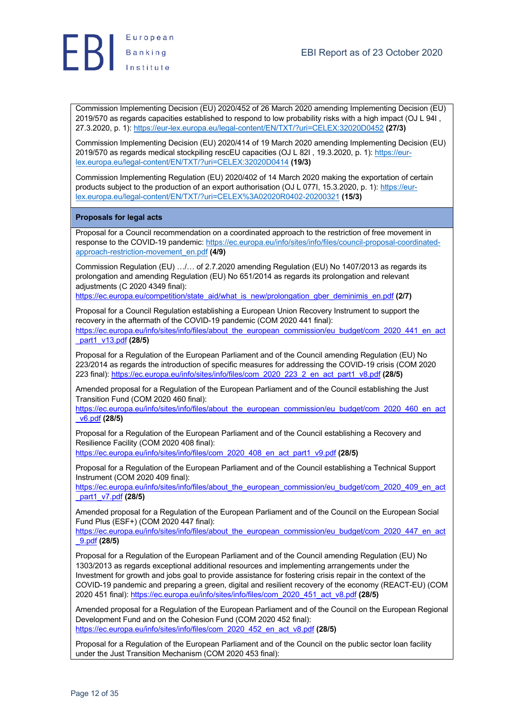



Commission Implementing Decision (EU) 2020/452 of 26 March 2020 amending Implementing Decision (EU) 2019/570 as regards capacities established to respond to low probability risks with a high impact (OJ L 94I , 27.3.2020, p. 1): https://eur-lex.europa.eu/legal-content/EN/TXT/?uri=CELEX:32020D0452 **(27/3)**

Commission Implementing Decision (EU) 2020/414 of 19 March 2020 amending Implementing Decision (EU) 2019/570 as regards medical stockpiling rescEU capacities (OJ L 82I, 19.3.2020, p. 1): https://eurlex.europa.eu/legal-content/EN/TXT/?uri=CELEX:32020D0414 **(19/3)**

Commission Implementing Regulation (EU) 2020/402 of 14 March 2020 making the exportation of certain products subject to the production of an export authorisation (OJ L 077I, 15.3.2020, p. 1): https://eurlex.europa.eu/legal-content/EN/TXT/?uri=CELEX%3A02020R0402-20200321 **(15/3)**

#### **Proposals for legal acts**

Proposal for a Council recommendation on a coordinated approach to the restriction of free movement in response to the COVID-19 pandemic: https://ec.europa.eu/info/sites/info/files/council-proposal-coordinatedapproach-restriction-movement\_en.pdf **(4/9)**

Commission Regulation (EU) …/… of 2.7.2020 amending Regulation (EU) No 1407/2013 as regards its prolongation and amending Regulation (EU) No 651/2014 as regards its prolongation and relevant adjustments (C 2020 4349 final):

https://ec.europa.eu/competition/state\_aid/what\_is\_new/prolongation\_gber\_deminimis\_en.pdf **(2/7)**

Proposal for a Council Regulation establishing a European Union Recovery Instrument to support the recovery in the aftermath of the COVID-19 pandemic (COM 2020 441 final): https://ec.europa.eu/info/sites/info/files/about\_the\_european\_commission/eu\_budget/com\_2020\_441\_en\_act \_part1\_v13.pdf **(28/5)**

Proposal for a Regulation of the European Parliament and of the Council amending Regulation (EU) No 223/2014 as regards the introduction of specific measures for addressing the COVID-19 crisis (COM 2020 223 final): https://ec.europa.eu/info/sites/info/files/com\_2020\_223\_2\_en\_act\_part1\_v8.pdf **(28/5)**

Amended proposal for a Regulation of the European Parliament and of the Council establishing the Just Transition Fund (COM 2020 460 final):

https://ec.europa.eu/info/sites/info/files/about\_the\_european\_commission/eu\_budget/com\_2020\_460\_en\_act \_v6.pdf **(28/5)**

Proposal for a Regulation of the European Parliament and of the Council establishing a Recovery and Resilience Facility (COM 2020 408 final):

https://ec.europa.eu/info/sites/info/files/com\_2020\_408\_en\_act\_part1\_v9.pdf **(28/5)**

Proposal for a Regulation of the European Parliament and of the Council establishing a Technical Support Instrument (COM 2020 409 final):

https://ec.europa.eu/info/sites/info/files/about\_the\_european\_commission/eu\_budget/com\_2020\_409\_en\_act \_part1\_v7.pdf **(28/5)**

Amended proposal for a Regulation of the European Parliament and of the Council on the European Social Fund Plus (ESF+) (COM 2020 447 final):

https://ec.europa.eu/info/sites/info/files/about\_the\_european\_commission/eu\_budget/com\_2020\_447\_en\_act \_9.pdf **(28/5)**

Proposal for a Regulation of the European Parliament and of the Council amending Regulation (EU) No 1303/2013 as regards exceptional additional resources and implementing arrangements under the Investment for growth and jobs goal to provide assistance for fostering crisis repair in the context of the COVID-19 pandemic and preparing a green, digital and resilient recovery of the economy (REACT-EU) (COM 2020 451 final): https://ec.europa.eu/info/sites/info/files/com\_2020\_451\_act\_v8.pdf **(28/5)**

Amended proposal for a Regulation of the European Parliament and of the Council on the European Regional Development Fund and on the Cohesion Fund (COM 2020 452 final): https://ec.europa.eu/info/sites/info/files/com\_2020\_452\_en\_act\_v8.pdf **(28/5)**

Proposal for a Regulation of the European Parliament and of the Council on the public sector loan facility under the Just Transition Mechanism (COM 2020 453 final):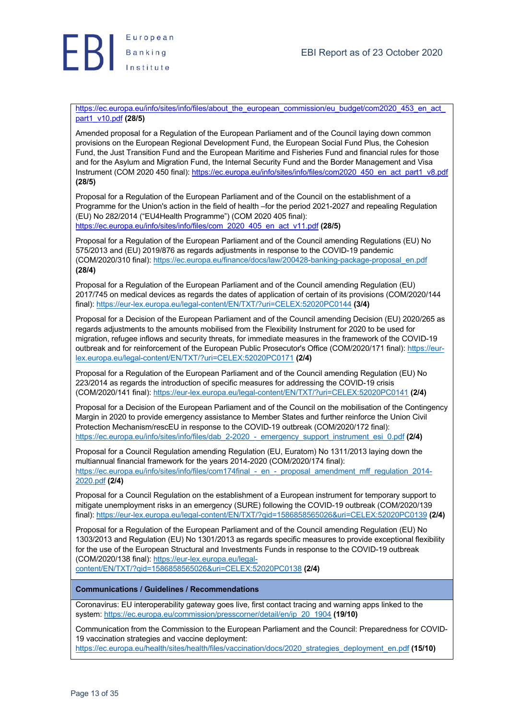

https://ec.europa.eu/info/sites/info/files/about\_the\_european\_commission/eu\_budget/com2020\_453\_en\_act part1\_v10.pdf **(28/5)**

Amended proposal for a Regulation of the European Parliament and of the Council laying down common provisions on the European Regional Development Fund, the European Social Fund Plus, the Cohesion Fund, the Just Transition Fund and the European Maritime and Fisheries Fund and financial rules for those and for the Asylum and Migration Fund, the Internal Security Fund and the Border Management and Visa Instrument (COM 2020 450 final): https://ec.europa.eu/info/sites/info/files/com2020\_450\_en\_act\_part1\_v8.pdf **(28/5)**

Proposal for a Regulation of the European Parliament and of the Council on the establishment of a Programme for the Union's action in the field of health –for the period 2021-2027 and repealing Regulation (EU) No 282/2014 ("EU4Health Programme") (COM 2020 405 final): https://ec.europa.eu/info/sites/info/files/com\_2020\_405\_en\_act\_v11.pdf **(28/5)**

Proposal for a Regulation of the European Parliament and of the Council amending Regulations (EU) No 575/2013 and (EU) 2019/876 as regards adjustments in response to the COVID-19 pandemic (COM/2020/310 final): https://ec.europa.eu/finance/docs/law/200428-banking-package-proposal\_en.pdf **(28/4)**

Proposal for a Regulation of the European Parliament and of the Council amending Regulation (EU) 2017/745 on medical devices as regards the dates of application of certain of its provisions (COM/2020/144 final): https://eur-lex.europa.eu/legal-content/EN/TXT/?uri=CELEX:52020PC0144 **(3/4)**

Proposal for a Decision of the European Parliament and of the Council amending Decision (EU) 2020/265 as regards adjustments to the amounts mobilised from the Flexibility Instrument for 2020 to be used for migration, refugee inflows and security threats, for immediate measures in the framework of the COVID-19 outbreak and for reinforcement of the European Public Prosecutor's Office (COM/2020/171 final): https://eurlex.europa.eu/legal-content/EN/TXT/?uri=CELEX:52020PC0171 **(2/4)**

Proposal for a Regulation of the European Parliament and of the Council amending Regulation (EU) No 223/2014 as regards the introduction of specific measures for addressing the COVID-19 crisis (COM/2020/141 final): https://eur-lex.europa.eu/legal-content/EN/TXT/?uri=CELEX:52020PC0141 **(2/4)**

Proposal for a Decision of the European Parliament and of the Council on the mobilisation of the Contingency Margin in 2020 to provide emergency assistance to Member States and further reinforce the Union Civil Protection Mechanism/rescEU in response to the COVID-19 outbreak (COM/2020/172 final): https://ec.europa.eu/info/sites/info/files/dab\_2-2020\_-\_emergency\_support\_instrument\_esi\_0.pdf **(2/4)**

Proposal for a Council Regulation amending Regulation (EU, Euratom) No 1311/2013 laying down the multiannual financial framework for the years 2014-2020 (COM/2020/174 final): https://ec.europa.eu/info/sites/info/files/com174final - en - proposal amendment mff regulation 2014-2020.pdf **(2/4)**

Proposal for a Council Regulation on the establishment of a European instrument for temporary support to mitigate unemployment risks in an emergency (SURE) following the COVID-19 outbreak (COM/2020/139 final): https://eur-lex.europa.eu/legal-content/EN/TXT/?qid=1586858565026&uri=CELEX:52020PC0139 **(2/4)**

Proposal for a Regulation of the European Parliament and of the Council amending Regulation (EU) No 1303/2013 and Regulation (EU) No 1301/2013 as regards specific measures to provide exceptional flexibility for the use of the European Structural and Investments Funds in response to the COVID-19 outbreak (COM/2020/138 final): https://eur-lex.europa.eu/legal-

content/EN/TXT/?qid=1586858565026&uri=CELEX:52020PC0138 **(2/4)**

### **Communications / Guidelines / Recommendations**

Coronavirus: EU interoperability gateway goes live, first contact tracing and warning apps linked to the system: https://ec.europa.eu/commission/presscorner/detail/en/ip\_20\_1904 **(19/10)**

Communication from the Commission to the European Parliament and the Council: Preparedness for COVID-19 vaccination strategies and vaccine deployment:

https://ec.europa.eu/health/sites/health/files/vaccination/docs/2020\_strategies\_deployment\_en.pdf (15/10)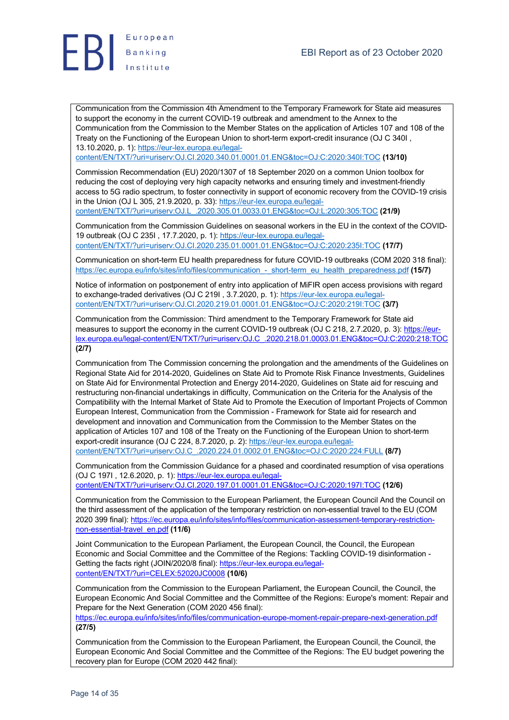

Communication from the Commission 4th Amendment to the Temporary Framework for State aid measures to support the economy in the current COVID-19 outbreak and amendment to the Annex to the Communication from the Commission to the Member States on the application of Articles 107 and 108 of the Treaty on the Functioning of the European Union to short-term export-credit insurance (OJ C 340I , 13.10.2020, p. 1): https://eur-lex.europa.eu/legal-

content/EN/TXT/?uri=uriserv:OJ.CI.2020.340.01.0001.01.ENG&toc=OJ:C:2020:340I:TOC **(13/10)**

Commission Recommendation (EU) 2020/1307 of 18 September 2020 on a common Union toolbox for reducing the cost of deploying very high capacity networks and ensuring timely and investment-friendly access to 5G radio spectrum, to foster connectivity in support of economic recovery from the COVID-19 crisis in the Union (OJ L 305, 21.9.2020, p. 33): https://eur-lex.europa.eu/legalcontent/EN/TXT/?uri=uriserv:OJ.L\_.2020.305.01.0033.01.ENG&toc=OJ:L:2020:305:TOC **(21/9)**

Communication from the Commission Guidelines on seasonal workers in the EU in the context of the COVID-19 outbreak (OJ C 235I , 17.7.2020, p. 1): https://eur-lex.europa.eu/legalcontent/EN/TXT/?uri=uriserv:OJ.CI.2020.235.01.0001.01.ENG&toc=OJ:C:2020:235I:TOC **(17/7)**

Communication on short-term EU health preparedness for future COVID-19 outbreaks (COM 2020 318 final): https://ec.europa.eu/info/sites/info/files/communication\_-\_short-term\_eu\_health\_preparedness.pdf **(15/7)**

Notice of information on postponement of entry into application of MiFIR open access provisions with regard to exchange-traded derivatives (OJ C 219I , 3.7.2020, p. 1): https://eur-lex.europa.eu/legalcontent/EN/TXT/?uri=uriserv:OJ.CI.2020.219.01.0001.01.ENG&toc=OJ:C:2020:219I:TOC **(3/7)**

Communication from the Commission: Third amendment to the Temporary Framework for State aid measures to support the economy in the current COVID-19 outbreak (OJ C 218, 2.7.2020, p. 3): https://eurlex.europa.eu/legal-content/EN/TXT/?uri=uriserv:OJ.C\_.2020.218.01.0003.01.ENG&toc=OJ:C:2020:218:TOC **(2/7)**

Communication from The Commission concerning the prolongation and the amendments of the Guidelines on Regional State Aid for 2014-2020, Guidelines on State Aid to Promote Risk Finance Investments, Guidelines on State Aid for Environmental Protection and Energy 2014-2020, Guidelines on State aid for rescuing and restructuring non-financial undertakings in difficulty, Communication on the Criteria for the Analysis of the Compatibility with the Internal Market of State Aid to Promote the Execution of Important Projects of Common European Interest, Communication from the Commission - Framework for State aid for research and development and innovation and Communication from the Commission to the Member States on the application of Articles 107 and 108 of the Treaty on the Functioning of the European Union to short-term export-credit insurance (OJ C 224, 8.7.2020, p. 2): https://eur-lex.europa.eu/legalcontent/EN/TXT/?uri=uriserv:OJ.C\_.2020.224.01.0002.01.ENG&toc=OJ:C:2020:224:FULL **(8/7)**

Communication from the Commission Guidance for a phased and coordinated resumption of visa operations (OJ C 197I , 12.6.2020, p. 1): https://eur-lex.europa.eu/legal-

content/EN/TXT/?uri=uriserv:OJ.CI.2020.197.01.0001.01.ENG&toc=OJ:C:2020:197I:TOC **(12/6)**

Communication from the Commission to the European Parliament, the European Council And the Council on the third assessment of the application of the temporary restriction on non-essential travel to the EU (COM 2020 399 final): https://ec.europa.eu/info/sites/info/files/communication-assessment-temporary-restrictionnon-essential-travel\_en.pdf **(11/6)**

Joint Communication to the European Parliament, the European Council, the Council, the European Economic and Social Committee and the Committee of the Regions: Tackling COVID-19 disinformation - Getting the facts right (JOIN/2020/8 final): https://eur-lex.europa.eu/legalcontent/EN/TXT/?uri=CELEX:52020JC0008 **(10/6)**

Communication from the Commission to the European Parliament, the European Council, the Council, the European Economic And Social Committee and the Committee of the Regions: Europe's moment: Repair and Prepare for the Next Generation (COM 2020 456 final):

https://ec.europa.eu/info/sites/info/files/communication-europe-moment-repair-prepare-next-generation.pdf **(27/5)**

Communication from the Commission to the European Parliament, the European Council, the Council, the European Economic And Social Committee and the Committee of the Regions: The EU budget powering the recovery plan for Europe (COM 2020 442 final):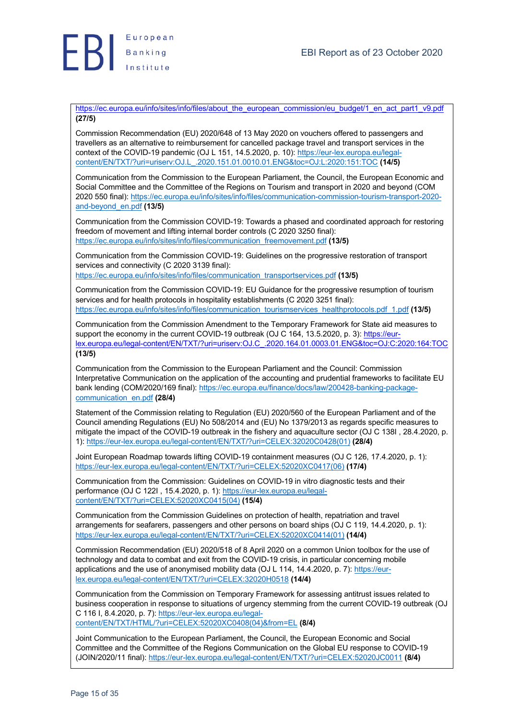

https://ec.europa.eu/info/sites/info/files/about\_the\_european\_commission/eu\_budget/1\_en\_act\_part1\_v9.pdf **(27/5)**

Commission Recommendation (EU) 2020/648 of 13 May 2020 on vouchers offered to passengers and travellers as an alternative to reimbursement for cancelled package travel and transport services in the context of the COVID-19 pandemic (OJ L 151, 14.5.2020, p. 10): https://eur-lex.europa.eu/legalcontent/EN/TXT/?uri=uriserv:OJ.L\_.2020.151.01.0010.01.ENG&toc=OJ:L:2020:151:TOC **(14/5)**

Communication from the Commission to the European Parliament, the Council, the European Economic and Social Committee and the Committee of the Regions on Tourism and transport in 2020 and beyond (COM 2020 550 final): https://ec.europa.eu/info/sites/info/files/communication-commission-tourism-transport-2020 and-beyond\_en.pdf **(13/5)**

Communication from the Commission COVID-19: Towards a phased and coordinated approach for restoring freedom of movement and lifting internal border controls (C 2020 3250 final): https://ec.europa.eu/info/sites/info/files/communication\_freemovement.pdf **(13/5)**

Communication from the Commission COVID-19: Guidelines on the progressive restoration of transport services and connectivity (C 2020 3139 final):

https://ec.europa.eu/info/sites/info/files/communication\_transportservices.pdf **(13/5)**

Communication from the Commission COVID-19: EU Guidance for the progressive resumption of tourism services and for health protocols in hospitality establishments (C 2020 3251 final): https://ec.europa.eu/info/sites/info/files/communication\_tourismservices\_healthprotocols.pdf\_1.pdf **(13/5)**

Communication from the Commission Amendment to the Temporary Framework for State aid measures to support the economy in the current COVID-19 outbreak (OJ C 164, 13.5.2020, p. 3): https://eurlex.europa.eu/legal-content/EN/TXT/?uri=uriserv:OJ.C\_.2020.164.01.0003.01.ENG&toc=OJ:C:2020:164:TOC **(13/5)**

Communication from the Commission to the European Parliament and the Council: Commission Interpretative Communication on the application of the accounting and prudential frameworks to facilitate EU bank lending (COM/2020/169 final): https://ec.europa.eu/finance/docs/law/200428-banking-packagecommunication\_en.pdf **(28/4)**

Statement of the Commission relating to Regulation (EU) 2020/560 of the European Parliament and of the Council amending Regulations (EU) No 508/2014 and (EU) No 1379/2013 as regards specific measures to mitigate the impact of the COVID-19 outbreak in the fishery and aquaculture sector (OJ C 138I , 28.4.2020, p. 1): https://eur-lex.europa.eu/legal-content/EN/TXT/?uri=CELEX:32020C0428(01) **(28/4)**

Joint European Roadmap towards lifting COVID-19 containment measures (OJ C 126, 17.4.2020, p. 1): https://eur-lex.europa.eu/legal-content/EN/TXT/?uri=CELEX:52020XC0417(06) **(17/4)**

Communication from the Commission: Guidelines on COVID-19 in vitro diagnostic tests and their performance (OJ C 122I, 15.4.2020, p. 1): https://eur-lex.europa.eu/legalcontent/EN/TXT/?uri=CELEX:52020XC0415(04) **(15/4)**

Communication from the Commission Guidelines on protection of health, repatriation and travel arrangements for seafarers, passengers and other persons on board ships (OJ C 119, 14.4.2020, p. 1): https://eur-lex.europa.eu/legal-content/EN/TXT/?uri=CELEX:52020XC0414(01) **(14/4)**

Commission Recommendation (EU) 2020/518 of 8 April 2020 on a common Union toolbox for the use of technology and data to combat and exit from the COVID-19 crisis, in particular concerning mobile applications and the use of anonymised mobility data (OJ L 114, 14.4.2020, p. 7): https://eurlex.europa.eu/legal-content/EN/TXT/?uri=CELEX:32020H0518 **(14/4)**

Communication from the Commission on Temporary Framework for assessing antitrust issues related to business cooperation in response to situations of urgency stemming from the current COVID-19 outbreak (OJ C 116 I, 8.4.2020, p. 7): https://eur-lex.europa.eu/legalcontent/EN/TXT/HTML/?uri=CELEX:52020XC0408(04)&from=EL **(8/4)**

Joint Communication to the European Parliament, the Council, the European Economic and Social Committee and the Committee of the Regions Communication on the Global EU response to COVID-19 (JOIN/2020/11 final): https://eur-lex.europa.eu/legal-content/EN/TXT/?uri=CELEX:52020JC0011 **(8/4)**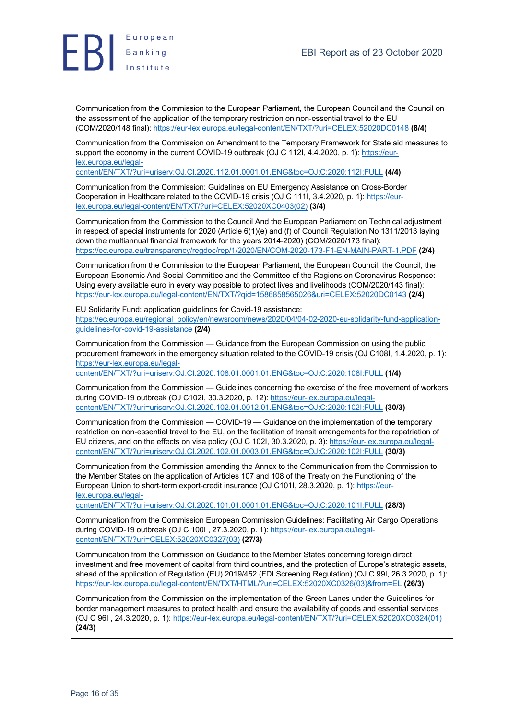

Communication from the Commission to the European Parliament, the European Council and the Council on the assessment of the application of the temporary restriction on non-essential travel to the EU (COM/2020/148 final): https://eur-lex.europa.eu/legal-content/EN/TXT/?uri=CELEX:52020DC0148 **(8/4)**

Communication from the Commission on Amendment to the Temporary Framework for State aid measures to support the economy in the current COVID-19 outbreak (OJ C 112I, 4.4.2020, p. 1): https://eurlex.europa.eu/legal-

content/EN/TXT/?uri=uriserv:OJ.CI.2020.112.01.0001.01.ENG&toc=OJ:C:2020:112I:FULL **(4/4)**

Communication from the Commission: Guidelines on EU Emergency Assistance on Cross-Border Cooperation in Healthcare related to the COVID-19 crisis (OJ C 111I, 3.4.2020, p. 1): https://eurlex.europa.eu/legal-content/EN/TXT/?uri=CELEX:52020XC0403(02) **(3/4)**

Communication from the Commission to the Council And the European Parliament on Technical adjustment in respect of special instruments for 2020 (Article 6(1)(e) and (f) of Council Regulation No 1311/2013 laying down the multiannual financial framework for the years 2014-2020) (COM/2020/173 final): https://ec.europa.eu/transparency/regdoc/rep/1/2020/EN/COM-2020-173-F1-EN-MAIN-PART-1.PDF **(2/4)**

Communication from the Commission to the European Parliament, the European Council, the Council, the European Economic And Social Committee and the Committee of the Regions on Coronavirus Response: Using every available euro in every way possible to protect lives and livelihoods (COM/2020/143 final): https://eur-lex.europa.eu/legal-content/EN/TXT/?qid=1586858565026&uri=CELEX:52020DC0143 **(2/4)**

EU Solidarity Fund: application guidelines for Covid-19 assistance: https://ec.europa.eu/regional\_policy/en/newsroom/news/2020/04/04-02-2020-eu-solidarity-fund-applicationguidelines-for-covid-19-assistance **(2/4)**

Communication from the Commission — Guidance from the European Commission on using the public procurement framework in the emergency situation related to the COVID-19 crisis (OJ C108I, 1.4.2020, p. 1): https://eur-lex.europa.eu/legal-

content/EN/TXT/?uri=uriserv:OJ.CI.2020.108.01.0001.01.ENG&toc=OJ:C:2020:108I:FULL **(1/4)**

Communication from the Commission — Guidelines concerning the exercise of the free movement of workers during COVID-19 outbreak (OJ C102I, 30.3.2020, p. 12): https://eur-lex.europa.eu/legalcontent/EN/TXT/?uri=uriserv:OJ.CI.2020.102.01.0012.01.ENG&toc=OJ:C:2020:102I:FULL **(30/3)**

Communication from the Commission — COVID-19 — Guidance on the implementation of the temporary restriction on non-essential travel to the EU, on the facilitation of transit arrangements for the repatriation of EU citizens, and on the effects on visa policy (OJ C 102I, 30.3.2020, p. 3): https://eur-lex.europa.eu/legalcontent/EN/TXT/?uri=uriserv:OJ.CI.2020.102.01.0003.01.ENG&toc=OJ:C:2020:102I:FULL **(30/3)**

Communication from the Commission amending the Annex to the Communication from the Commission to the Member States on the application of Articles 107 and 108 of the Treaty on the Functioning of the European Union to short-term export-credit insurance (OJ C101I, 28.3.2020, p. 1): https://eurlex.europa.eu/legal-

content/EN/TXT/?uri=uriserv:OJ.CI.2020.101.01.0001.01.ENG&toc=OJ:C:2020:101I:FULL **(28/3)**

Communication from the Commission European Commission Guidelines: Facilitating Air Cargo Operations during COVID-19 outbreak (OJ C 100I , 27.3.2020, p. 1): https://eur-lex.europa.eu/legalcontent/EN/TXT/?uri=CELEX:52020XC0327(03) **(27/3)**

Communication from the Commission on Guidance to the Member States concerning foreign direct investment and free movement of capital from third countries, and the protection of Europe's strategic assets, ahead of the application of Regulation (EU) 2019/452 (FDI Screening Regulation) (OJ C 99I, 26.3.2020, p. 1): https://eur-lex.europa.eu/legal-content/EN/TXT/HTML/?uri=CELEX:52020XC0326(03)&from=EL **(26/3)**

Communication from the Commission on the implementation of the Green Lanes under the Guidelines for border management measures to protect health and ensure the availability of goods and essential services (OJ C 96I , 24.3.2020, p. 1): https://eur-lex.europa.eu/legal-content/EN/TXT/?uri=CELEX:52020XC0324(01) **(24/3)**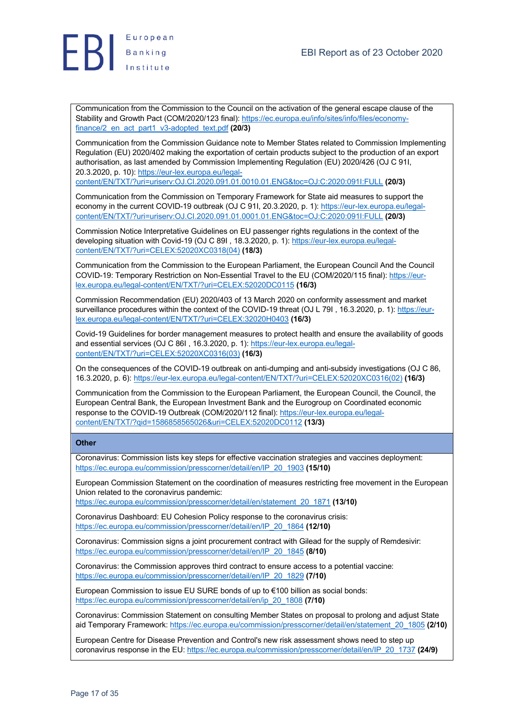

Communication from the Commission to the Council on the activation of the general escape clause of the Stability and Growth Pact (COM/2020/123 final): https://ec.europa.eu/info/sites/info/files/economyfinance/2\_en\_act\_part1\_v3-adopted\_text.pdf **(20/3)**

Communication from the Commission Guidance note to Member States related to Commission Implementing Regulation (EU) 2020/402 making the exportation of certain products subject to the production of an export authorisation, as last amended by Commission Implementing Regulation (EU) 2020/426 (OJ C 91I, 20.3.2020, p. 10): https://eur-lex.europa.eu/legal-

content/EN/TXT/?uri=uriserv:OJ.CI.2020.091.01.0010.01.ENG&toc=OJ:C:2020:091I:FULL **(20/3)**

Communication from the Commission on Temporary Framework for State aid measures to support the economy in the current COVID-19 outbreak (OJ C 91I, 20.3.2020, p. 1): https://eur-lex.europa.eu/legalcontent/EN/TXT/?uri=uriserv:OJ.CI.2020.091.01.0001.01.ENG&toc=OJ:C:2020:091I:FULL **(20/3)**

Commission Notice Interpretative Guidelines on EU passenger rights regulations in the context of the developing situation with Covid-19 (OJ C 89I , 18.3.2020, p. 1): https://eur-lex.europa.eu/legalcontent/EN/TXT/?uri=CELEX:52020XC0318(04) **(18/3)**

Communication from the Commission to the European Parliament, the European Council And the Council COVID-19: Temporary Restriction on Non-Essential Travel to the EU (COM/2020/115 final): https://eurlex.europa.eu/legal-content/EN/TXT/?uri=CELEX:52020DC0115 **(16/3)**

Commission Recommendation (EU) 2020/403 of 13 March 2020 on conformity assessment and market surveillance procedures within the context of the COVID-19 threat (OJ L 79I, 16.3.2020, p. 1): https://eurlex.europa.eu/legal-content/EN/TXT/?uri=CELEX:32020H0403 **(16/3)**

Covid-19 Guidelines for border management measures to protect health and ensure the availability of goods and essential services (OJ C 86I , 16.3.2020, p. 1): https://eur-lex.europa.eu/legalcontent/EN/TXT/?uri=CELEX:52020XC0316(03) **(16/3)**

On the consequences of the COVID-19 outbreak on anti-dumping and anti-subsidy investigations (OJ C 86, 16.3.2020, p. 6): https://eur-lex.europa.eu/legal-content/EN/TXT/?uri=CELEX:52020XC0316(02) **(16/3)**

Communication from the Commission to the European Parliament, the European Council, the Council, the European Central Bank, the European Investment Bank and the Eurogroup on Coordinated economic response to the COVID-19 Outbreak (COM/2020/112 final): https://eur-lex.europa.eu/legalcontent/EN/TXT/?qid=1586858565026&uri=CELEX:52020DC0112 **(13/3)**

#### **Other**

Coronavirus: Commission lists key steps for effective vaccination strategies and vaccines deployment: https://ec.europa.eu/commission/presscorner/detail/en/IP\_20\_1903 **(15/10)**

European Commission Statement on the coordination of measures restricting free movement in the European Union related to the coronavirus pandemic:

https://ec.europa.eu/commission/presscorner/detail/en/statement\_20\_1871 **(13/10)**

Coronavirus Dashboard: EU Cohesion Policy response to the coronavirus crisis: https://ec.europa.eu/commission/presscorner/detail/en/IP\_20\_1864 **(12/10)**

Coronavirus: Commission signs a joint procurement contract with Gilead for the supply of Remdesivir: https://ec.europa.eu/commission/presscorner/detail/en/IP\_20\_1845 **(8/10)**

Coronavirus: the Commission approves third contract to ensure access to a potential vaccine: https://ec.europa.eu/commission/presscorner/detail/en/IP\_20\_1829 **(7/10)**

European Commission to issue EU SURE bonds of up to €100 billion as social bonds: https://ec.europa.eu/commission/presscorner/detail/en/ip\_20\_1808 **(7/10)**

Coronavirus: Commission Statement on consulting Member States on proposal to prolong and adjust State aid Temporary Framework: https://ec.europa.eu/commission/presscorner/detail/en/statement\_20\_1805 **(2/10)**

European Centre for Disease Prevention and Control's new risk assessment shows need to step up coronavirus response in the EU: https://ec.europa.eu/commission/presscorner/detail/en/IP\_20\_1737 **(24/9)**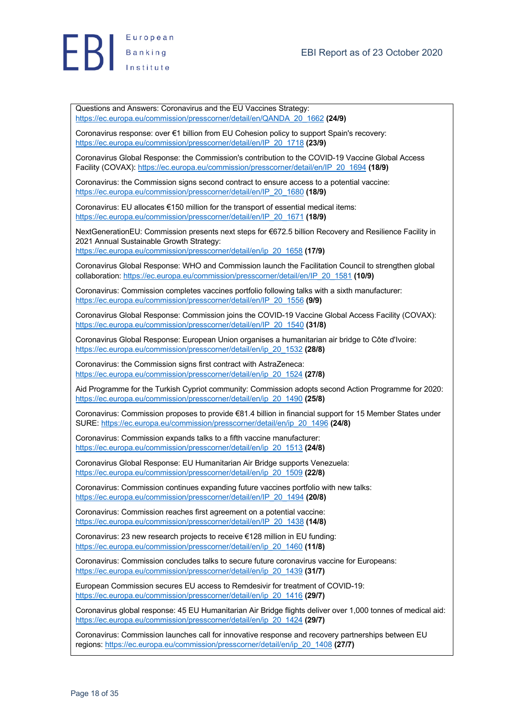

Questions and Answers: Coronavirus and the EU Vaccines Strategy: https://ec.europa.eu/commission/presscorner/detail/en/QANDA\_20\_1662 **(24/9)**

Coronavirus response: over €1 billion from EU Cohesion policy to support Spain's recovery: https://ec.europa.eu/commission/presscorner/detail/en/IP\_20\_1718 **(23/9)**

Coronavirus Global Response: the Commission's contribution to the COVID-19 Vaccine Global Access Facility (COVAX): https://ec.europa.eu/commission/presscorner/detail/en/IP\_20\_1694 **(18/9)**

Coronavirus: the Commission signs second contract to ensure access to a potential vaccine: https://ec.europa.eu/commission/presscorner/detail/en/IP\_20\_1680 **(18/9)**

Coronavirus: EU allocates €150 million for the transport of essential medical items: https://ec.europa.eu/commission/presscorner/detail/en/IP\_20\_1671 **(18/9)**

NextGenerationEU: Commission presents next steps for €672.5 billion Recovery and Resilience Facility in 2021 Annual Sustainable Growth Strategy:

https://ec.europa.eu/commission/presscorner/detail/en/ip\_20\_1658 **(17/9)**

Coronavirus Global Response: WHO and Commission launch the Facilitation Council to strengthen global collaboration: https://ec.europa.eu/commission/presscorner/detail/en/IP\_20\_1581 **(10/9)**

Coronavirus: Commission completes vaccines portfolio following talks with a sixth manufacturer: https://ec.europa.eu/commission/presscorner/detail/en/IP\_20\_1556 **(9/9)**

Coronavirus Global Response: Commission joins the COVID-19 Vaccine Global Access Facility (COVAX): https://ec.europa.eu/commission/presscorner/detail/en/IP\_20\_1540 **(31/8)**

Coronavirus Global Response: European Union organises a humanitarian air bridge to Côte d'Ivoire: https://ec.europa.eu/commission/presscorner/detail/en/ip\_20\_1532 **(28/8)**

Coronavirus: the Commission signs first contract with AstraZeneca: https://ec.europa.eu/commission/presscorner/detail/en/ip\_20\_1524 **(27/8)**

Aid Programme for the Turkish Cypriot community: Commission adopts second Action Programme for 2020: https://ec.europa.eu/commission/presscorner/detail/en/ip\_20\_1490 **(25/8)**

Coronavirus: Commission proposes to provide €81.4 billion in financial support for 15 Member States under SURE: https://ec.europa.eu/commission/presscorner/detail/en/ip\_20\_1496 **(24/8)**

Coronavirus: Commission expands talks to a fifth vaccine manufacturer: https://ec.europa.eu/commission/presscorner/detail/en/ip\_20\_1513 **(24/8)**

Coronavirus Global Response: EU Humanitarian Air Bridge supports Venezuela: https://ec.europa.eu/commission/presscorner/detail/en/ip\_20\_1509 **(22/8)**

Coronavirus: Commission continues expanding future vaccines portfolio with new talks: https://ec.europa.eu/commission/presscorner/detail/en/IP\_20\_1494 **(20/8)**

Coronavirus: Commission reaches first agreement on a potential vaccine: https://ec.europa.eu/commission/presscorner/detail/en/IP\_20\_1438 **(14/8)**

Coronavirus: 23 new research projects to receive €128 million in EU funding: https://ec.europa.eu/commission/presscorner/detail/en/ip\_20\_1460 **(11/8)**

Coronavirus: Commission concludes talks to secure future coronavirus vaccine for Europeans: https://ec.europa.eu/commission/presscorner/detail/en/ip\_20\_1439 **(31/7)**

European Commission secures EU access to Remdesivir for treatment of COVID-19: https://ec.europa.eu/commission/presscorner/detail/en/ip\_20\_1416 **(29/7)**

Coronavirus global response: 45 EU Humanitarian Air Bridge flights deliver over 1,000 tonnes of medical aid: https://ec.europa.eu/commission/presscorner/detail/en/ip\_20\_1424 **(29/7)**

Coronavirus: Commission launches call for innovative response and recovery partnerships between EU regions: https://ec.europa.eu/commission/presscorner/detail/en/ip\_20\_1408 **(27/7)**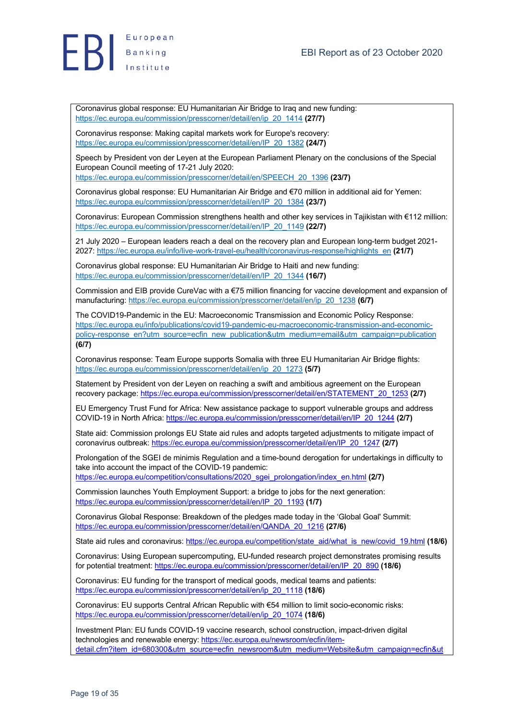



Coronavirus global response: EU Humanitarian Air Bridge to Iraq and new funding: https://ec.europa.eu/commission/presscorner/detail/en/ip\_20\_1414 **(27/7)**

Coronavirus response: Making capital markets work for Europe's recovery: https://ec.europa.eu/commission/presscorner/detail/en/IP\_20\_1382 **(24/7)**

Speech by President von der Leyen at the European Parliament Plenary on the conclusions of the Special European Council meeting of 17-21 July 2020:

https://ec.europa.eu/commission/presscorner/detail/en/SPEECH\_20\_1396 **(23/7)**

Coronavirus global response: EU Humanitarian Air Bridge and €70 million in additional aid for Yemen: https://ec.europa.eu/commission/presscorner/detail/en/IP\_20\_1384 **(23/7)**

Coronavirus: European Commission strengthens health and other key services in Tajikistan with €112 million: https://ec.europa.eu/commission/presscorner/detail/en/IP\_20\_1149 **(22/7)**

21 July 2020 – European leaders reach a deal on the recovery plan and European long-term budget 2021- 2027: https://ec.europa.eu/info/live-work-travel-eu/health/coronavirus-response/highlights\_en **(21/7)**

Coronavirus global response: EU Humanitarian Air Bridge to Haiti and new funding: https://ec.europa.eu/commission/presscorner/detail/en/IP\_20\_1344 **(16/7)**

Commission and EIB provide CureVac with a €75 million financing for vaccine development and expansion of manufacturing: https://ec.europa.eu/commission/presscorner/detail/en/ip\_20\_1238 **(6/7)**

The COVID19-Pandemic in the EU: Macroeconomic Transmission and Economic Policy Response: https://ec.europa.eu/info/publications/covid19-pandemic-eu-macroeconomic-transmission-and-economicpolicy-response\_en?utm\_source=ecfin\_new\_publication&utm\_medium=email&utm\_campaign=publication **(6/7)**

Coronavirus response: Team Europe supports Somalia with three EU Humanitarian Air Bridge flights: https://ec.europa.eu/commission/presscorner/detail/en/ip\_20\_1273 **(5/7)**

Statement by President von der Leyen on reaching a swift and ambitious agreement on the European recovery package: https://ec.europa.eu/commission/presscorner/detail/en/STATEMENT\_20\_1253 **(2/7)**

EU Emergency Trust Fund for Africa: New assistance package to support vulnerable groups and address COVID-19 in North Africa: https://ec.europa.eu/commission/presscorner/detail/en/IP\_20\_1244 **(2/7)**

State aid: Commission prolongs EU State aid rules and adopts targeted adjustments to mitigate impact of coronavirus outbreak: https://ec.europa.eu/commission/presscorner/detail/en/IP\_20\_1247 **(2/7)**

Prolongation of the SGEI de minimis Regulation and a time-bound derogation for undertakings in difficulty to take into account the impact of the COVID-19 pandemic:

https://ec.europa.eu/competition/consultations/2020\_sgei\_prolongation/index\_en.html **(2/7)**

Commission launches Youth Employment Support: a bridge to jobs for the next generation: https://ec.europa.eu/commission/presscorner/detail/en/IP\_20\_1193 **(1/7)**

Coronavirus Global Response: Breakdown of the pledges made today in the 'Global Goal' Summit: https://ec.europa.eu/commission/presscorner/detail/en/QANDA\_20\_1216 **(27/6)**

State aid rules and coronavirus: https://ec.europa.eu/competition/state\_aid/what\_is\_new/covid\_19.html **(18/6)**

Coronavirus: Using European supercomputing, EU-funded research project demonstrates promising results for potential treatment: https://ec.europa.eu/commission/presscorner/detail/en/IP\_20\_890 **(18/6)**

Coronavirus: EU funding for the transport of medical goods, medical teams and patients: https://ec.europa.eu/commission/presscorner/detail/en/ip\_20\_1118 **(18/6)**

Coronavirus: EU supports Central African Republic with €54 million to limit socio-economic risks: https://ec.europa.eu/commission/presscorner/detail/en/ip\_20\_1074 **(18/6)**

Investment Plan: EU funds COVID-19 vaccine research, school construction, impact-driven digital technologies and renewable energy: https://ec.europa.eu/newsroom/ecfin/itemdetail.cfm?item\_id=680300&utm\_source=ecfin\_newsroom&utm\_medium=Website&utm\_campaign=ecfin&ut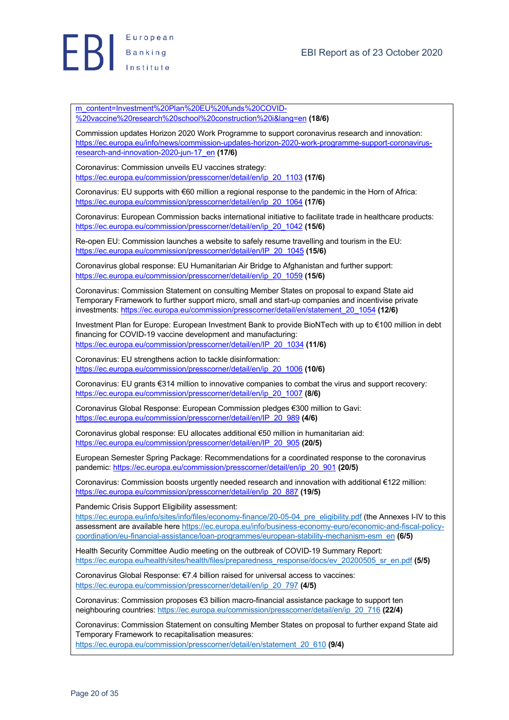

m\_content=Investment%20Plan%20EU%20funds%20COVID- %20vaccine%20research%20school%20construction%20i&lang=en **(18/6)**

Commission updates Horizon 2020 Work Programme to support coronavirus research and innovation: https://ec.europa.eu/info/news/commission-updates-horizon-2020-work-programme-support-coronavirusresearch-and-innovation-2020-jun-17\_en **(17/6)**

Coronavirus: Commission unveils EU vaccines strategy: https://ec.europa.eu/commission/presscorner/detail/en/ip\_20\_1103 **(17/6)**

Coronavirus: EU supports with €60 million a regional response to the pandemic in the Horn of Africa: https://ec.europa.eu/commission/presscorner/detail/en/ip\_20\_1064 **(17/6)**

Coronavirus: European Commission backs international initiative to facilitate trade in healthcare products: https://ec.europa.eu/commission/presscorner/detail/en/ip\_20\_1042 **(15/6)**

Re-open EU: Commission launches a website to safely resume travelling and tourism in the EU: https://ec.europa.eu/commission/presscorner/detail/en/IP\_20\_1045 **(15/6)**

Coronavirus global response: EU Humanitarian Air Bridge to Afghanistan and further support: https://ec.europa.eu/commission/presscorner/detail/en/ip\_20\_1059 **(15/6)**

Coronavirus: Commission Statement on consulting Member States on proposal to expand State aid Temporary Framework to further support micro, small and start-up companies and incentivise private investments: https://ec.europa.eu/commission/presscorner/detail/en/statement\_20\_1054 **(12/6)**

Investment Plan for Europe: European Investment Bank to provide BioNTech with up to €100 million in debt financing for COVID-19 vaccine development and manufacturing: https://ec.europa.eu/commission/presscorner/detail/en/IP\_20\_1034 **(11/6)**

Coronavirus: EU strengthens action to tackle disinformation: https://ec.europa.eu/commission/presscorner/detail/en/ip\_20\_1006 **(10/6)**

Coronavirus: EU grants €314 million to innovative companies to combat the virus and support recovery: https://ec.europa.eu/commission/presscorner/detail/en/ip\_20\_1007 **(8/6)**

Coronavirus Global Response: European Commission pledges €300 million to Gavi: https://ec.europa.eu/commission/presscorner/detail/en/IP\_20\_989 **(4/6)**

Coronavirus global response: EU allocates additional €50 million in humanitarian aid: https://ec.europa.eu/commission/presscorner/detail/en/IP\_20\_905 **(20/5)**

European Semester Spring Package: Recommendations for a coordinated response to the coronavirus pandemic: https://ec.europa.eu/commission/presscorner/detail/en/ip\_20\_901 **(20/5)**

Coronavirus: Commission boosts urgently needed research and innovation with additional €122 million: https://ec.europa.eu/commission/presscorner/detail/en/ip\_20\_887 **(19/5)**

Pandemic Crisis Support Eligibility assessment:

https://ec.europa.eu/info/sites/info/files/economy-finance/20-05-04\_pre\_eligibility.pdf (the Annexes I-IV to this assessment are available here https://ec.europa.eu/info/business-economy-euro/economic-and-fiscal-policycoordination/eu-financial-assistance/loan-programmes/european-stability-mechanism-esm\_en **(6/5)**

Health Security Committee Audio meeting on the outbreak of COVID-19 Summary Report: https://ec.europa.eu/health/sites/health/files/preparedness\_response/docs/ev\_20200505\_sr\_en.pdf **(5/5)**

Coronavirus Global Response: €7.4 billion raised for universal access to vaccines: https://ec.europa.eu/commission/presscorner/detail/en/ip\_20\_797 **(4/5)**

Coronavirus: Commission proposes €3 billion macro-financial assistance package to support ten neighbouring countries: https://ec.europa.eu/commission/presscorner/detail/en/ip\_20\_716 **(22/4)**

Coronavirus: Commission Statement on consulting Member States on proposal to further expand State aid Temporary Framework to recapitalisation measures: https://ec.europa.eu/commission/presscorner/detail/en/statement\_20\_610 **(9/4)**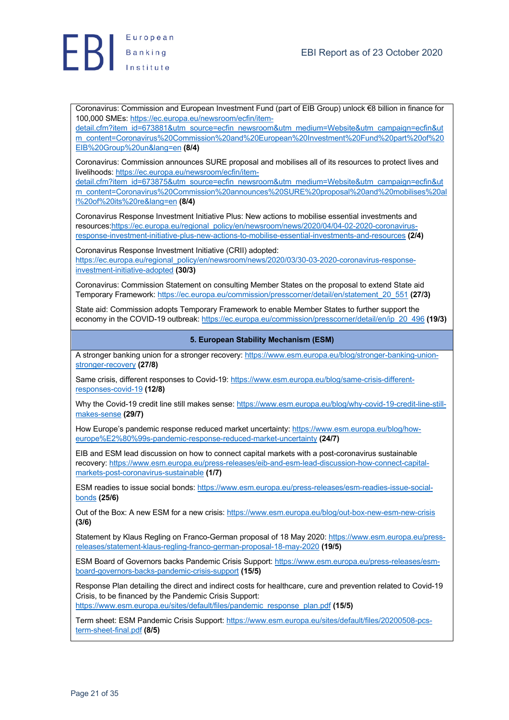



Coronavirus: Commission and European Investment Fund (part of EIB Group) unlock €8 billion in finance for 100,000 SMEs: https://ec.europa.eu/newsroom/ecfin/item-

detail.cfm?item\_id=673881&utm\_source=ecfin\_newsroom&utm\_medium=Website&utm\_campaign=ecfin&ut m\_content=Coronavirus%20Commission%20and%20European%20Investment%20Fund%20part%20of%20 EIB%20Group%20un&lang=en **(8/4)**

Coronavirus: Commission announces SURE proposal and mobilises all of its resources to protect lives and livelihoods: https://ec.europa.eu/newsroom/ecfin/item-

detail.cfm?item\_id=673875&utm\_source=ecfin\_newsroom&utm\_medium=Website&utm\_campaign=ecfin&ut m\_content=Coronavirus%20Commission%20announces%20SURE%20proposal%20and%20mobilises%20al l%20of%20its%20re&lang=en **(8/4)**

Coronavirus Response Investment Initiative Plus: New actions to mobilise essential investments and resources:https://ec.europa.eu/regional\_policy/en/newsroom/news/2020/04/04-02-2020-coronavirusresponse-investment-initiative-plus-new-actions-to-mobilise-essential-investments-and-resources **(2/4)**

Coronavirus Response Investment Initiative (CRII) adopted: https://ec.europa.eu/regional\_policy/en/newsroom/news/2020/03/30-03-2020-coronavirus-responseinvestment-initiative-adopted **(30/3)**

Coronavirus: Commission Statement on consulting Member States on the proposal to extend State aid Temporary Framework: https://ec.europa.eu/commission/presscorner/detail/en/statement\_20\_551 **(27/3)**

State aid: Commission adopts Temporary Framework to enable Member States to further support the economy in the COVID-19 outbreak: https://ec.europa.eu/commission/presscorner/detail/en/ip\_20\_496 **(19/3)**

#### **5. European Stability Mechanism (ESM)**

A stronger banking union for a stronger recovery: https://www.esm.europa.eu/blog/stronger-banking-unionstronger-recovery **(27/8)**

Same crisis, different responses to Covid-19: https://www.esm.europa.eu/blog/same-crisis-differentresponses-covid-19 **(12/8)**

Why the Covid-19 credit line still makes sense: https://www.esm.europa.eu/blog/why-covid-19-credit-line-stillmakes-sense **(29/7)**

How Europe's pandemic response reduced market uncertainty: https://www.esm.europa.eu/blog/howeurope%E2%80%99s-pandemic-response-reduced-market-uncertainty **(24/7)**

EIB and ESM lead discussion on how to connect capital markets with a post-coronavirus sustainable recovery: https://www.esm.europa.eu/press-releases/eib-and-esm-lead-discussion-how-connect-capitalmarkets-post-coronavirus-sustainable **(1/7)**

ESM readies to issue social bonds: https://www.esm.europa.eu/press-releases/esm-readies-issue-socialbonds **(25/6)**

Out of the Box: A new ESM for a new crisis: https://www.esm.europa.eu/blog/out-box-new-esm-new-crisis **(3/6)**

Statement by Klaus Regling on Franco-German proposal of 18 May 2020: https://www.esm.europa.eu/pressreleases/statement-klaus-regling-franco-german-proposal-18-may-2020 **(19/5)**

ESM Board of Governors backs Pandemic Crisis Support: https://www.esm.europa.eu/press-releases/esmboard-governors-backs-pandemic-crisis-support **(15/5)**

Response Plan detailing the direct and indirect costs for healthcare, cure and prevention related to Covid-19 Crisis, to be financed by the Pandemic Crisis Support: https://www.esm.europa.eu/sites/default/files/pandemic\_response\_plan.pdf **(15/5)**

Term sheet: ESM Pandemic Crisis Support: https://www.esm.europa.eu/sites/default/files/20200508-pcsterm-sheet-final.pdf **(8/5)**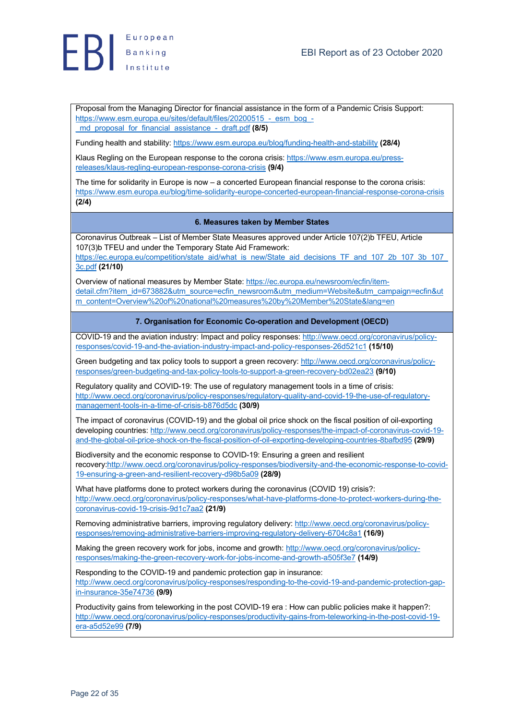



Proposal from the Managing Director for financial assistance in the form of a Pandemic Crisis Support: https://www.esm.europa.eu/sites/default/files/20200515\_-\_esm\_bog\_-\_md\_proposal\_for\_financial\_assistance\_-\_draft.pdf **(8/5)**

Funding health and stability: https://www.esm.europa.eu/blog/funding-health-and-stability **(28/4)**

Klaus Regling on the European response to the corona crisis: https://www.esm.europa.eu/pressreleases/klaus-regling-european-response-corona-crisis **(9/4)**

The time for solidarity in Europe is now – a concerted European financial response to the corona crisis: https://www.esm.europa.eu/blog/time-solidarity-europe-concerted-european-financial-response-corona-crisis **(2/4)**

#### **6. Measures taken by Member States**

Coronavirus Outbreak – List of Member State Measures approved under Article 107(2)b TFEU, Article 107(3)b TFEU and under the Temporary State Aid Framework: https://ec.europa.eu/competition/state\_aid/what\_is\_new/State\_aid\_decisions\_TF\_and\_107\_2b\_107\_3b\_107\_

3c.pdf **(21/10)**

Overview of national measures by Member State: https://ec.europa.eu/newsroom/ecfin/itemdetail.cfm?item\_id=673882&utm\_source=ecfin\_newsroom&utm\_medium=Website&utm\_campaign=ecfin&ut m\_content=Overview%20of%20national%20measures%20by%20Member%20State&lang=en

**7. Organisation for Economic Co-operation and Development (OECD)**

COVID-19 and the aviation industry: Impact and policy responses: http://www.oecd.org/coronavirus/policyresponses/covid-19-and-the-aviation-industry-impact-and-policy-responses-26d521c1 **(15/10)**

Green budgeting and tax policy tools to support a green recovery: http://www.oecd.org/coronavirus/policyresponses/green-budgeting-and-tax-policy-tools-to-support-a-green-recovery-bd02ea23 **(9/10)**

Regulatory quality and COVID-19: The use of regulatory management tools in a time of crisis: http://www.oecd.org/coronavirus/policy-responses/regulatory-quality-and-covid-19-the-use-of-regulatorymanagement-tools-in-a-time-of-crisis-b876d5dc **(30/9)**

The impact of coronavirus (COVID-19) and the global oil price shock on the fiscal position of oil-exporting developing countries: http://www.oecd.org/coronavirus/policy-responses/the-impact-of-coronavirus-covid-19 and-the-global-oil-price-shock-on-the-fiscal-position-of-oil-exporting-developing-countries-8bafbd95 **(29/9)**

Biodiversity and the economic response to COVID-19: Ensuring a green and resilient recovery:http://www.oecd.org/coronavirus/policy-responses/biodiversity-and-the-economic-response-to-covid-19-ensuring-a-green-and-resilient-recovery-d98b5a09 **(28/9)**

What have platforms done to protect workers during the coronavirus (COVID 19) crisis?: http://www.oecd.org/coronavirus/policy-responses/what-have-platforms-done-to-protect-workers-during-thecoronavirus-covid-19-crisis-9d1c7aa2 **(21/9)**

Removing administrative barriers, improving regulatory delivery: http://www.oecd.org/coronavirus/policyresponses/removing-administrative-barriers-improving-regulatory-delivery-6704c8a1 **(16/9)**

Making the green recovery work for jobs, income and growth: http://www.oecd.org/coronavirus/policyresponses/making-the-green-recovery-work-for-jobs-income-and-growth-a505f3e7 **(14/9)**

Responding to the COVID-19 and pandemic protection gap in insurance:

http://www.oecd.org/coronavirus/policy-responses/responding-to-the-covid-19-and-pandemic-protection-gapin-insurance-35e74736 **(9/9)**

Productivity gains from teleworking in the post COVID-19 era : How can public policies make it happen?: http://www.oecd.org/coronavirus/policy-responses/productivity-gains-from-teleworking-in-the-post-covid-19 era-a5d52e99 **(7/9)**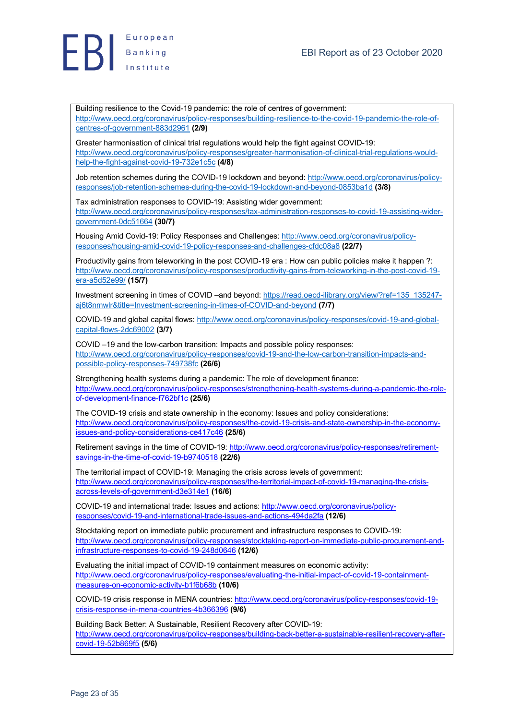



Building resilience to the Covid-19 pandemic: the role of centres of government: http://www.oecd.org/coronavirus/policy-responses/building-resilience-to-the-covid-19-pandemic-the-role-ofcentres-of-government-883d2961 **(2/9)**

Greater harmonisation of clinical trial regulations would help the fight against COVID-19: http://www.oecd.org/coronavirus/policy-responses/greater-harmonisation-of-clinical-trial-regulations-wouldhelp-the-fight-against-covid-19-732e1c5c **(4/8)**

Job retention schemes during the COVID-19 lockdown and beyond: http://www.oecd.org/coronavirus/policyresponses/job-retention-schemes-during-the-covid-19-lockdown-and-beyond-0853ba1d **(3/8)**

Tax administration responses to COVID-19: Assisting wider government: http://www.oecd.org/coronavirus/policy-responses/tax-administration-responses-to-covid-19-assisting-widergovernment-0dc51664 **(30/7)**

Housing Amid Covid-19: Policy Responses and Challenges: http://www.oecd.org/coronavirus/policyresponses/housing-amid-covid-19-policy-responses-and-challenges-cfdc08a8 **(22/7)**

Productivity gains from teleworking in the post COVID-19 era : How can public policies make it happen ?: http://www.oecd.org/coronavirus/policy-responses/productivity-gains-from-teleworking-in-the-post-covid-19 era-a5d52e99/ **(15/7)**

Investment screening in times of COVID –and beyond: https://read.oecd-ilibrary.org/view/?ref=135\_135247 aj6t8nmwlr&title=Investment-screening-in-times-of-COVID-and-beyond **(7/7)**

COVID-19 and global capital flows: http://www.oecd.org/coronavirus/policy-responses/covid-19-and-globalcapital-flows-2dc69002 **(3/7)**

COVID –19 and the low-carbon transition: Impacts and possible policy responses: http://www.oecd.org/coronavirus/policy-responses/covid-19-and-the-low-carbon-transition-impacts-andpossible-policy-responses-749738fc **(26/6)**

Strengthening health systems during a pandemic: The role of development finance: http://www.oecd.org/coronavirus/policy-responses/strengthening-health-systems-during-a-pandemic-the-roleof-development-finance-f762bf1c **(25/6)**

The COVID-19 crisis and state ownership in the economy: Issues and policy considerations: http://www.oecd.org/coronavirus/policy-responses/the-covid-19-crisis-and-state-ownership-in-the-economyissues-and-policy-considerations-ce417c46 **(25/6)**

Retirement savings in the time of COVID-19: http://www.oecd.org/coronavirus/policy-responses/retirementsavings-in-the-time-of-covid-19-b9740518 **(22/6)**

The territorial impact of COVID-19: Managing the crisis across levels of government: http://www.oecd.org/coronavirus/policy-responses/the-territorial-impact-of-covid-19-managing-the-crisisacross-levels-of-government-d3e314e1 **(16/6)**

COVID-19 and international trade: Issues and actions: http://www.oecd.org/coronavirus/policyresponses/covid-19-and-international-trade-issues-and-actions-494da2fa **(12/6)**

Stocktaking report on immediate public procurement and infrastructure responses to COVID-19: http://www.oecd.org/coronavirus/policy-responses/stocktaking-report-on-immediate-public-procurement-andinfrastructure-responses-to-covid-19-248d0646 **(12/6)**

Evaluating the initial impact of COVID-19 containment measures on economic activity: http://www.oecd.org/coronavirus/policy-responses/evaluating-the-initial-impact-of-covid-19-containmentmeasures-on-economic-activity-b1f6b68b **(10/6)**

COVID-19 crisis response in MENA countries: http://www.oecd.org/coronavirus/policy-responses/covid-19 crisis-response-in-mena-countries-4b366396 **(9/6)**

Building Back Better: A Sustainable, Resilient Recovery after COVID-19: http://www.oecd.org/coronavirus/policy-responses/building-back-better-a-sustainable-resilient-recovery-aftercovid-19-52b869f5 **(5/6)**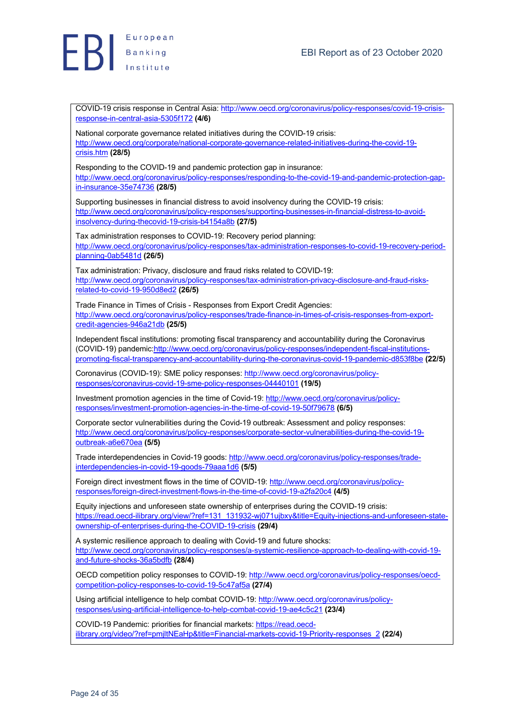COVID-19 crisis response in Central Asia: http://www.oecd.org/coronavirus/policy-responses/covid-19-crisisresponse-in-central-asia-5305f172 **(4/6)** National corporate governance related initiatives during the COVID-19 crisis: http://www.oecd.org/corporate/national-corporate-governance-related-initiatives-during-the-covid-19 crisis.htm **(28/5)** Responding to the COVID-19 and pandemic protection gap in insurance: http://www.oecd.org/coronavirus/policy-responses/responding-to-the-covid-19-and-pandemic-protection-gapin-insurance-35e74736 **(28/5)** Supporting businesses in financial distress to avoid insolvency during the COVID-19 crisis: http://www.oecd.org/coronavirus/policy-responses/supporting-businesses-in-financial-distress-to-avoidinsolvency-during-thecovid-19-crisis-b4154a8b **(27/5)** Tax administration responses to COVID-19: Recovery period planning: http://www.oecd.org/coronavirus/policy-responses/tax-administration-responses-to-covid-19-recovery-periodplanning-0ab5481d **(26/5)** Tax administration: Privacy, disclosure and fraud risks related to COVID-19: http://www.oecd.org/coronavirus/policy-responses/tax-administration-privacy-disclosure-and-fraud-risksrelated-to-covid-19-950d8ed2 **(26/5)** Trade Finance in Times of Crisis - Responses from Export Credit Agencies: http://www.oecd.org/coronavirus/policy-responses/trade-finance-in-times-of-crisis-responses-from-exportcredit-agencies-946a21db **(25/5)** Independent fiscal institutions: promoting fiscal transparency and accountability during the Coronavirus (COVID-19) pandemic:http://www.oecd.org/coronavirus/policy-responses/independent-fiscal-institutionspromoting-fiscal-transparency-and-accountability-during-the-coronavirus-covid-19-pandemic-d853f8be **(22/5)** Coronavirus (COVID-19): SME policy responses: http://www.oecd.org/coronavirus/policyresponses/coronavirus-covid-19-sme-policy-responses-04440101 **(19/5)** Investment promotion agencies in the time of Covid-19: http://www.oecd.org/coronavirus/policyresponses/investment-promotion-agencies-in-the-time-of-covid-19-50f79678 **(6/5)** Corporate sector vulnerabilities during the Covid-19 outbreak: Assessment and policy responses: http://www.oecd.org/coronavirus/policy-responses/corporate-sector-vulnerabilities-during-the-covid-19 outbreak-a6e670ea **(5/5)** Trade interdependencies in Covid-19 goods: http://www.oecd.org/coronavirus/policy-responses/tradeinterdependencies-in-covid-19-goods-79aaa1d6 **(5/5)** Foreign direct investment flows in the time of COVID-19: http://www.oecd.org/coronavirus/policyresponses/foreign-direct-investment-flows-in-the-time-of-covid-19-a2fa20c4 **(4/5)** Equity injections and unforeseen state ownership of enterprises during the COVID-19 crisis: https://read.oecd-ilibrary.org/view/?ref=131\_131932-wj071ujbxy&title=Equity-injections-and-unforeseen-stateownership-of-enterprises-during-the-COVID-19-crisis **(29/4)** A systemic resilience approach to dealing with Covid-19 and future shocks: http://www.oecd.org/coronavirus/policy-responses/a-systemic-resilience-approach-to-dealing-with-covid-19 and-future-shocks-36a5bdfb **(28/4)** OECD competition policy responses to COVID-19: http://www.oecd.org/coronavirus/policy-responses/oecdcompetition-policy-responses-to-covid-19-5c47af5a **(27/4)** Using artificial intelligence to help combat COVID-19: http://www.oecd.org/coronavirus/policyresponses/using-artificial-intelligence-to-help-combat-covid-19-ae4c5c21 **(23/4)** COVID-19 Pandemic: priorities for financial markets: https://read.oecdilibrary.org/video/?ref=pmjltNEaHp&title=Financial-markets-covid-19-Priority-responses\_2 **(22/4)**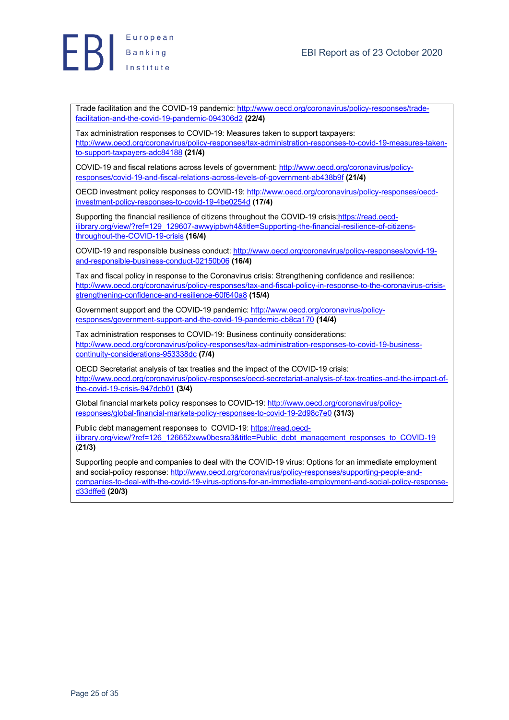

Trade facilitation and the COVID-19 pandemic: http://www.oecd.org/coronavirus/policy-responses/tradefacilitation-and-the-covid-19-pandemic-094306d2 **(22/4)**

Tax administration responses to COVID-19: Measures taken to support taxpayers: http://www.oecd.org/coronavirus/policy-responses/tax-administration-responses-to-covid-19-measures-takento-support-taxpayers-adc84188 **(21/4)**

COVID-19 and fiscal relations across levels of government: http://www.oecd.org/coronavirus/policyresponses/covid-19-and-fiscal-relations-across-levels-of-government-ab438b9f **(21/4)**

OECD investment policy responses to COVID-19: http://www.oecd.org/coronavirus/policy-responses/oecdinvestment-policy-responses-to-covid-19-4be0254d **(17/4)**

Supporting the financial resilience of citizens throughout the COVID-19 crisis:https://read.oecdilibrary.org/view/?ref=129\_129607-awwyipbwh4&title=Supporting-the-financial-resilience-of-citizensthroughout-the-COVID-19-crisis **(16/4)**

COVID-19 and responsible business conduct: http://www.oecd.org/coronavirus/policy-responses/covid-19 and-responsible-business-conduct-02150b06 **(16/4)**

Tax and fiscal policy in response to the Coronavirus crisis: Strengthening confidence and resilience: http://www.oecd.org/coronavirus/policy-responses/tax-and-fiscal-policy-in-response-to-the-coronavirus-crisisstrengthening-confidence-and-resilience-60f640a8 **(15/4)**

Government support and the COVID-19 pandemic: http://www.oecd.org/coronavirus/policyresponses/government-support-and-the-covid-19-pandemic-cb8ca170 **(14/4)**

Tax administration responses to COVID-19: Business continuity considerations: http://www.oecd.org/coronavirus/policy-responses/tax-administration-responses-to-covid-19-businesscontinuity-considerations-953338dc **(7/4)**

OECD Secretariat analysis of tax treaties and the impact of the COVID-19 crisis: http://www.oecd.org/coronavirus/policy-responses/oecd-secretariat-analysis-of-tax-treaties-and-the-impact-ofthe-covid-19-crisis-947dcb01 **(3/4)**

Global financial markets policy responses to COVID-19: http://www.oecd.org/coronavirus/policyresponses/global-financial-markets-policy-responses-to-covid-19-2d98c7e0 **(31/3)**

Public debt management responses to COVID-19: https://read.oecdilibrary.org/view/?ref=126\_126652xww0besra3&title=Public\_debt\_management\_responses\_to\_COVID-19 (**21/3)**

Supporting people and companies to deal with the COVID-19 virus: Options for an immediate employment and social-policy response: http://www.oecd.org/coronavirus/policy-responses/supporting-people-andcompanies-to-deal-with-the-covid-19-virus-options-for-an-immediate-employment-and-social-policy-responsed33dffe6 **(20/3)**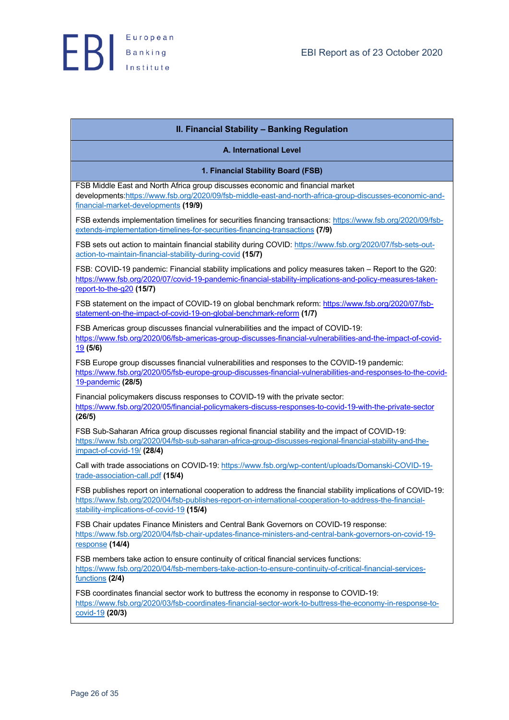| II. Financial Stability - Banking Regulation                                                                                                                                                                                                                           |
|------------------------------------------------------------------------------------------------------------------------------------------------------------------------------------------------------------------------------------------------------------------------|
| <b>A. International Level</b>                                                                                                                                                                                                                                          |
| 1. Financial Stability Board (FSB)                                                                                                                                                                                                                                     |
| FSB Middle East and North Africa group discusses economic and financial market<br>developments:https://www.fsb.org/2020/09/fsb-middle-east-and-north-africa-group-discusses-economic-and-<br>financial-market-developments (19/9)                                      |
| FSB extends implementation timelines for securities financing transactions: https://www.fsb.org/2020/09/fsb-<br>extends-implementation-timelines-for-securities-financing-transactions (7/9)                                                                           |
| FSB sets out action to maintain financial stability during COVID: https://www.fsb.org/2020/07/fsb-sets-out-<br>action-to-maintain-financial-stability-during-covid (15/7)                                                                                              |
| FSB: COVID-19 pandemic: Financial stability implications and policy measures taken - Report to the G20:<br>https://www.fsb.org/2020/07/covid-19-pandemic-financial-stability-implications-and-policy-measures-taken-<br>report-to-the-g20 (15/7)                       |
| FSB statement on the impact of COVID-19 on global benchmark reform: https://www.fsb.org/2020/07/fsb-<br>statement-on-the-impact-of-covid-19-on-global-benchmark-reform (1/7)                                                                                           |
| FSB Americas group discusses financial vulnerabilities and the impact of COVID-19:<br>https://www.fsb.org/2020/06/fsb-americas-group-discusses-financial-vulnerabilities-and-the-impact-of-covid-<br>19(5/6)                                                           |
| FSB Europe group discusses financial vulnerabilities and responses to the COVID-19 pandemic:<br>https://www.fsb.org/2020/05/fsb-europe-group-discusses-financial-vulnerabilities-and-responses-to-the-covid-<br>19-pandemic (28/5)                                     |
| Financial policymakers discuss responses to COVID-19 with the private sector:<br>https://www.fsb.org/2020/05/financial-policymakers-discuss-responses-to-covid-19-with-the-private-sector<br>(26/5)                                                                    |
| FSB Sub-Saharan Africa group discusses regional financial stability and the impact of COVID-19:<br>https://www.fsb.org/2020/04/fsb-sub-saharan-africa-group-discusses-regional-financial-stability-and-the-<br>impact-of-covid-19/ <sub>(28/4)</sub>                   |
| Call with trade associations on COVID-19: https://www.fsb.org/wp-content/uploads/Domanski-COVID-19-<br>trade-association-call.pdf (15/4)                                                                                                                               |
| FSB publishes report on international cooperation to address the financial stability implications of COVID-19:<br>https://www.fsb.org/2020/04/fsb-publishes-report-on-international-cooperation-to-address-the-financial-<br>stability-implications-of-covid-19 (15/4) |
| FSB Chair updates Finance Ministers and Central Bank Governors on COVID-19 response:<br>https://www.fsb.org/2020/04/fsb-chair-updates-finance-ministers-and-central-bank-governors-on-covid-19-<br>$response$ (14/4)                                                   |
| FSB members take action to ensure continuity of critical financial services functions:<br>https://www.fsb.org/2020/04/fsb-members-take-action-to-ensure-continuity-of-critical-financial-services-<br>functions (2/4)                                                  |
| FSB coordinates financial sector work to buttress the economy in response to COVID-19:<br>https://www.fsb.org/2020/03/fsb-coordinates-financial-sector-work-to-buttress-the-economy-in-response-to-<br>covid-19 (20/3)                                                 |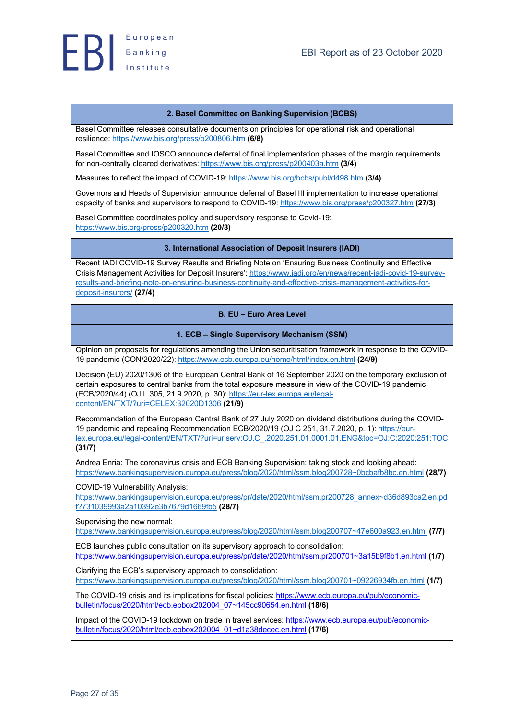#### **2. Basel Committee on Banking Supervision (BCBS)**

Basel Committee releases consultative documents on principles for operational risk and operational resilience: https://www.bis.org/press/p200806.htm **(6/8)**

Basel Committee and IOSCO announce deferral of final implementation phases of the margin requirements for non-centrally cleared derivatives: https://www.bis.org/press/p200403a.htm **(3/4)**

Measures to reflect the impact of COVID-19: https://www.bis.org/bcbs/publ/d498.htm **(3/4)**

Governors and Heads of Supervision announce deferral of Basel III implementation to increase operational capacity of banks and supervisors to respond to CΟVID-19: https://www.bis.org/press/p200327.htm **(27/3)**

Basel Committee coordinates policy and supervisory response to Covid-19: https://www.bis.org/press/p200320.htm **(20/3)**

#### **3. International Association of Deposit Insurers (IADI)**

Recent IADI COVID-19 Survey Results and Briefing Note on 'Ensuring Business Continuity and Effective Crisis Management Activities for Deposit Insurers': https://www.iadi.org/en/news/recent-iadi-covid-19-surveyresults-and-briefing-note-on-ensuring-business-continuity-and-effective-crisis-management-activities-fordeposit-insurers/ **(27/4)**

### **B. EU – Euro Area Level**

#### **1. ECB – Single Supervisory Mechanism (SSM)**

Opinion on proposals for regulations amending the Union securitisation framework in response to the COVID-19 pandemic (CON/2020/22): https://www.ecb.europa.eu/home/html/index.en.html **(24/9)**

Decision (EU) 2020/1306 of the European Central Bank of 16 September 2020 on the temporary exclusion of certain exposures to central banks from the total exposure measure in view of the COVID-19 pandemic (ECB/2020/44) (OJ L 305, 21.9.2020, p. 30): https://eur-lex.europa.eu/legalcontent/EN/TXT/?uri=CELEX:32020D1306 **(21/9)**

Recommendation of the European Central Bank of 27 July 2020 on dividend distributions during the COVID-19 pandemic and repealing Recommendation ECB/2020/19 (OJ C 251, 31.7.2020, p. 1): https://eurlex.europa.eu/legal-content/EN/TXT/?uri=uriserv:OJ.C\_.2020.251.01.0001.01.ENG&toc=OJ:C:2020:251:TOC **(31/7)**

Andrea Enria: The coronavirus crisis and ECB Banking Supervision: taking stock and looking ahead: https://www.bankingsupervision.europa.eu/press/blog/2020/html/ssm.blog200728~0bcbafb8bc.en.html **(28/7)**

COVID-19 Vulnerability Analysis:

https://www.bankingsupervision.europa.eu/press/pr/date/2020/html/ssm.pr200728\_annex~d36d893ca2.en.pd f?731039993a2a10392e3b7679d1669fb5 **(28/7)**

Supervising the new normal:

https://www.bankingsupervision.europa.eu/press/blog/2020/html/ssm.blog200707~47e600a923.en.html **(7/7)**

ECB launches public consultation on its supervisory approach to consolidation: https://www.bankingsupervision.europa.eu/press/pr/date/2020/html/ssm.pr200701~3a15b9f8b1.en.html **(1/7)**

Clarifying the ECB's supervisory approach to consolidation: https://www.bankingsupervision.europa.eu/press/blog/2020/html/ssm.blog200701~09226934fb.en.html **(1/7)**

The COVID-19 crisis and its implications for fiscal policies: https://www.ecb.europa.eu/pub/economicbulletin/focus/2020/html/ecb.ebbox202004\_07~145cc90654.en.html **(18/6)**

Impact of the COVID-19 lockdown on trade in travel services: https://www.ecb.europa.eu/pub/economicbulletin/focus/2020/html/ecb.ebbox202004\_01~d1a38decec.en.html **(17/6)**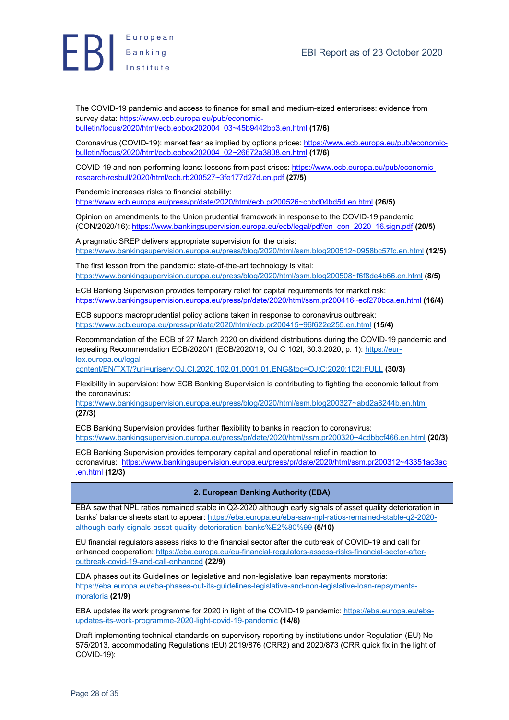

The COVID-19 pandemic and access to finance for small and medium-sized enterprises: evidence from survey data: https://www.ecb.europa.eu/pub/economicbulletin/focus/2020/html/ecb.ebbox202004\_03~45b9442bb3.en.html **(17/6)**

Coronavirus (COVID-19): market fear as implied by options prices: https://www.ecb.europa.eu/pub/economicbulletin/focus/2020/html/ecb.ebbox202004\_02~26672a3808.en.html **(17/6)**

COVID-19 and non-performing loans: lessons from past crises: https://www.ecb.europa.eu/pub/economicresearch/resbull/2020/html/ecb.rb200527~3fe177d27d.en.pdf **(27/5)**

Pandemic increases risks to financial stability:

https://www.ecb.europa.eu/press/pr/date/2020/html/ecb.pr200526~cbbd04bd5d.en.html **(26/5)**

Opinion on amendments to the Union prudential framework in response to the COVID-19 pandemic (CON/2020/16): https://www.bankingsupervision.europa.eu/ecb/legal/pdf/en\_con\_2020\_16.sign.pdf **(20/5)**

A pragmatic SREP delivers appropriate supervision for the crisis: https://www.bankingsupervision.europa.eu/press/blog/2020/html/ssm.blog200512~0958bc57fc.en.html **(12/5)**

The first lesson from the pandemic: state-of-the-art technology is vital: https://www.bankingsupervision.europa.eu/press/blog/2020/html/ssm.blog200508~f6f8de4b66.en.html **(8/5)**

ECB Banking Supervision provides temporary relief for capital requirements for market risk: https://www.bankingsupervision.europa.eu/press/pr/date/2020/html/ssm.pr200416~ecf270bca.en.html **(16/4)**

ECB supports macroprudential policy actions taken in response to coronavirus outbreak: https://www.ecb.europa.eu/press/pr/date/2020/html/ecb.pr200415~96f622e255.en.html **(15/4)**

Recommendation of the ECB of 27 March 2020 on dividend distributions during the COVID-19 pandemic and repealing Recommendation ECB/2020/1 (ECB/2020/19, OJ C 102I, 30.3.2020, p. 1): https://eurlex.europa.eu/legal-

content/EN/TXT/?uri=uriserv:OJ.CI.2020.102.01.0001.01.ENG&toc=OJ:C:2020:102I:FULL **(30/3)**

Flexibility in supervision: how ECB Banking Supervision is contributing to fighting the economic fallout from the coronavirus:

https://www.bankingsupervision.europa.eu/press/blog/2020/html/ssm.blog200327~abd2a8244b.en.html **(27/3)**

ECB Banking Supervision provides further flexibility to banks in reaction to coronavirus: https://www.bankingsupervision.europa.eu/press/pr/date/2020/html/ssm.pr200320~4cdbbcf466.en.html **(20/3)**

ECB Banking Supervision provides temporary capital and operational relief in reaction to coronavirus: https://www.bankingsupervision.europa.eu/press/pr/date/2020/html/ssm.pr200312~43351ac3ac .en.html **(12/3)**

## **2. European Banking Authority (EBA)**

EBA saw that NPL ratios remained stable in Q2-2020 although early signals of asset quality deterioration in banks' balance sheets start to appear: https://eba.europa.eu/eba-saw-npl-ratios-remained-stable-q2-2020 although-early-signals-asset-quality-deterioration-banks%E2%80%99 **(5/10)**

EU financial regulators assess risks to the financial sector after the outbreak of COVID-19 and call for enhanced cooperation: https://eba.europa.eu/eu-financial-regulators-assess-risks-financial-sector-afteroutbreak-covid-19-and-call-enhanced **(22/9)**

EBA phases out its Guidelines on legislative and non-legislative loan repayments moratoria: https://eba.europa.eu/eba-phases-out-its-guidelines-legislative-and-non-legislative-loan-repaymentsmoratoria **(21/9)**

EBA updates its work programme for 2020 in light of the COVID-19 pandemic: https://eba.europa.eu/ebaupdates-its-work-programme-2020-light-covid-19-pandemic **(14/8)**

Draft implementing technical standards on supervisory reporting by institutions under Regulation (EU) No 575/2013, accommodating Regulations (EU) 2019/876 (CRR2) and 2020/873 (CRR quick fix in the light of COVID-19):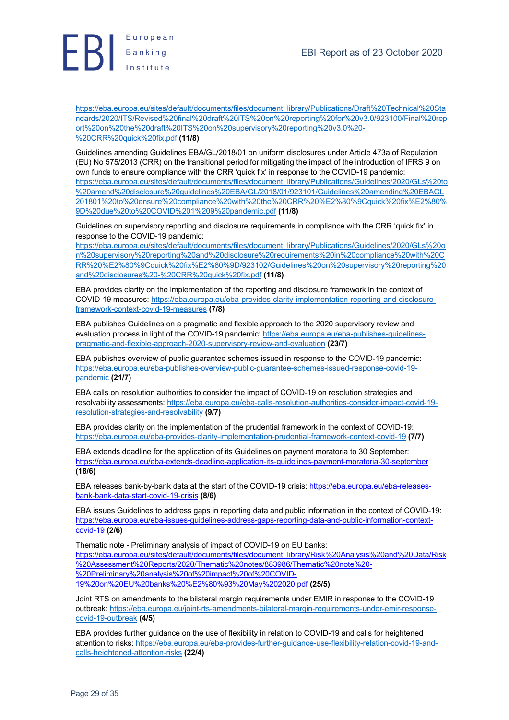

https://eba.europa.eu/sites/default/documents/files/document\_library/Publications/Draft%20Technical%20Sta ndards/2020/ITS/Revised%20final%20draft%20ITS%20on%20reporting%20for%20v3.0/923100/Final%20rep ort%20on%20the%20draft%20ITS%20on%20supervisory%20reporting%20v3.0%20- %20CRR%20quick%20fix.pdf **(11/8)**

Guidelines amending Guidelines EBA/GL/2018/01 on uniform disclosures under Article 473a of Regulation (EU) No 575/2013 (CRR) on the transitional period for mitigating the impact of the introduction of IFRS 9 on own funds to ensure compliance with the CRR 'quick fix' in response to the COVID-19 pandemic: https://eba.europa.eu/sites/default/documents/files/document\_library/Publications/Guidelines/2020/GLs%20to %20amend%20disclosure%20guidelines%20EBA/GL/2018/01/923101/Guidelines%20amending%20EBAGL 201801%20to%20ensure%20compliance%20with%20the%20CRR%20%E2%80%9Cquick%20fix%E2%80% 9D%20due%20to%20COVID%201%209%20pandemic.pdf **(11/8)**

Guidelines on supervisory reporting and disclosure requirements in compliance with the CRR 'quick fix' in response to the COVID-19 pandemic:

https://eba.europa.eu/sites/default/documents/files/document\_library/Publications/Guidelines/2020/GLs%20o n%20supervisory%20reporting%20and%20disclosure%20requirements%20in%20compliance%20with%20C RR%20%E2%80%9Cquick%20fix%E2%80%9D/923102/Guidelines%20on%20supervisory%20reporting%20 and%20disclosures%20-%20CRR%20quick%20fix.pdf **(11/8)**

EBA provides clarity on the implementation of the reporting and disclosure framework in the context of COVID-19 measures: https://eba.europa.eu/eba-provides-clarity-implementation-reporting-and-disclosureframework-context-covid-19-measures **(7/8)**

EBA publishes Guidelines on a pragmatic and flexible approach to the 2020 supervisory review and evaluation process in light of the COVID-19 pandemic: https://eba.europa.eu/eba-publishes-guidelinespragmatic-and-flexible-approach-2020-supervisory-review-and-evaluation **(23/7)**

EBA publishes overview of public guarantee schemes issued in response to the COVID-19 pandemic: https://eba.europa.eu/eba-publishes-overview-public-guarantee-schemes-issued-response-covid-19 pandemic **(21/7)**

EBA calls on resolution authorities to consider the impact of COVID-19 on resolution strategies and resolvability assessments: https://eba.europa.eu/eba-calls-resolution-authorities-consider-impact-covid-19 resolution-strategies-and-resolvability **(9/7)**

EBA provides clarity on the implementation of the prudential framework in the context of COVID-19: https://eba.europa.eu/eba-provides-clarity-implementation-prudential-framework-context-covid-19 **(7/7)**

EBA extends deadline for the application of its Guidelines on payment moratoria to 30 September: https://eba.europa.eu/eba-extends-deadline-application-its-guidelines-payment-moratoria-30-september **(18/6)**

EBA releases bank-by-bank data at the start of the COVID-19 crisis: https://eba.europa.eu/eba-releasesbank-bank-data-start-covid-19-crisis **(8/6)**

EBA issues Guidelines to address gaps in reporting data and public information in the context of COVID-19: https://eba.europa.eu/eba-issues-guidelines-address-gaps-reporting-data-and-public-information-contextcovid-19 **(2/6)**

Thematic note - Preliminary analysis of impact of COVID-19 on EU banks: https://eba.europa.eu/sites/default/documents/files/document\_library/Risk%20Analysis%20and%20Data/Risk %20Assessment%20Reports/2020/Thematic%20notes/883986/Thematic%20note%20- %20Preliminary%20analysis%20of%20impact%20of%20COVID-

19%20on%20EU%20banks%20%E2%80%93%20May%202020.pdf **(25/5)**

Joint RTS on amendments to the bilateral margin requirements under EMIR in response to the COVID-19 outbreak: https://eba.europa.eu/joint-rts-amendments-bilateral-margin-requirements-under-emir-responsecovid-19-outbreak **(4/5)**

EBA provides further guidance on the use of flexibility in relation to COVID-19 and calls for heightened attention to risks: https://eba.europa.eu/eba-provides-further-guidance-use-flexibility-relation-covid-19-andcalls-heightened-attention-risks **(22/4)**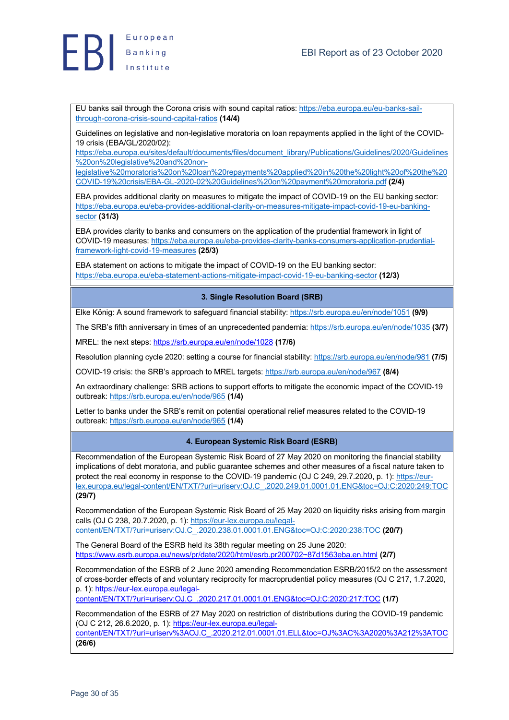

European Banking

> EU banks sail through the Corona crisis with sound capital ratios: https://eba.europa.eu/eu-banks-sailthrough-corona-crisis-sound-capital-ratios **(14/4)**

Guidelines on legislative and non-legislative moratoria on loan repayments applied in the light of the COVID-19 crisis (EBA/GL/2020/02):

https://eba.europa.eu/sites/default/documents/files/document\_library/Publications/Guidelines/2020/Guidelines %20on%20legislative%20and%20non-

legislative%20moratoria%20on%20loan%20repayments%20applied%20in%20the%20light%20of%20the%20 COVID-19%20crisis/EBA-GL-2020-02%20Guidelines%20on%20payment%20moratoria.pdf **(2/4)**

EBA provides additional clarity on measures to mitigate the impact of COVID-19 on the EU banking sector: https://eba.europa.eu/eba-provides-additional-clarity-on-measures-mitigate-impact-covid-19-eu-bankingsector **(31/3)**

EBA provides clarity to banks and consumers on the application of the prudential framework in light of COVID-19 measures: https://eba.europa.eu/eba-provides-clarity-banks-consumers-application-prudentialframework-light-covid-19-measures **(25/3)**

EBA statement on actions to mitigate the impact of COVID-19 on the EU banking sector: https://eba.europa.eu/eba-statement-actions-mitigate-impact-covid-19-eu-banking-sector **(12/3)**

## **3. Single Resolution Board (SRB)**

Elke König: A sound framework to safeguard financial stability: https://srb.europa.eu/en/node/1051 **(9/9)**

The SRB's fifth anniversary in times of an unprecedented pandemia: https://srb.europa.eu/en/node/1035 **(3/7)**

MREL: the next steps: https://srb.europa.eu/en/node/1028 **(17/6)**

Resolution planning cycle 2020: setting a course for financial stability: https://srb.europa.eu/en/node/981 **(7/5)**

COVID-19 crisis: the SRB's approach to MREL targets: https://srb.europa.eu/en/node/967 **(8/4)**

An extraordinary challenge: SRB actions to support efforts to mitigate the economic impact of the COVID-19 outbreak: https://srb.europa.eu/en/node/965 **(1/4)**

Letter to banks under the SRB's remit on potential operational relief measures related to the COVID-19 outbreak: https://srb.europa.eu/en/node/965 **(1/4)**

#### **4. European Systemic Risk Board (ESRB)**

Recommendation of the European Systemic Risk Board of 27 May 2020 on monitoring the financial stability implications of debt moratoria, and public guarantee schemes and other measures of a fiscal nature taken to protect the real economy in response to the COVID-19 pandemic (OJ C 249, 29.7.2020, p. 1): https://eurlex.europa.eu/legal-content/EN/TXT/?uri=uriserv:OJ.C\_.2020.249.01.0001.01.ENG&toc=OJ:C:2020:249:TOC **(29/7)**

Recommendation of the European Systemic Risk Board of 25 May 2020 on liquidity risks arising from margin calls (OJ C 238, 20.7.2020, p. 1): https://eur-lex.europa.eu/legal-

content/EN/TXT/?uri=uriserv:OJ.C\_.2020.238.01.0001.01.ENG&toc=OJ:C:2020:238:TOC **(20/7)**

The General Board of the ESRB held its 38th regular meeting on 25 June 2020: https://www.esrb.europa.eu/news/pr/date/2020/html/esrb.pr200702~87d1563eba.en.html **(2/7)**

Recommendation of the ESRB of 2 June 2020 amending Recommendation ESRB/2015/2 on the assessment of cross-border effects of and voluntary reciprocity for macroprudential policy measures (OJ C 217, 1.7.2020, p. 1): https://eur-lex.europa.eu/legal-

content/EN/TXT/?uri=uriserv:OJ.C\_.2020.217.01.0001.01.ENG&toc=OJ:C:2020:217:TOC **(1/7)**

Recommendation of the ESRB of 27 May 2020 on restriction of distributions during the COVID-19 pandemic (OJ C 212, 26.6.2020, p. 1): https://eur-lex.europa.eu/legalcontent/EN/TXT/?uri=uriserv%3AOJ.C\_.2020.212.01.0001.01.ELL&toc=OJ%3AC%3A2020%3A212%3ATOC **(26/6)**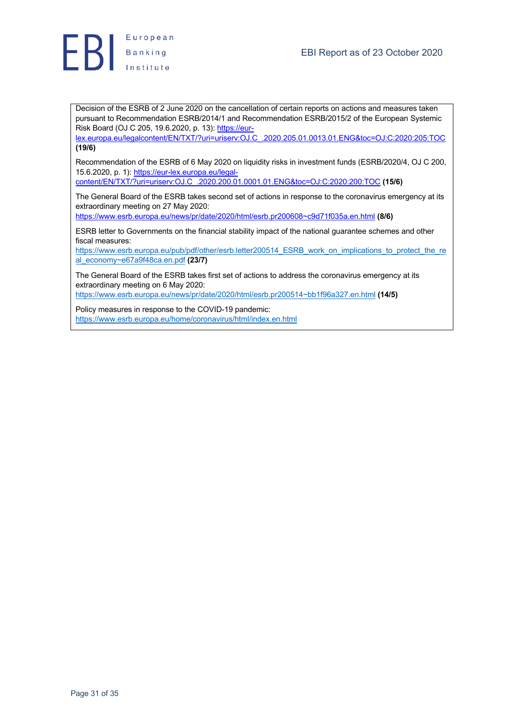

Decision of the ESRB of 2 June 2020 on the cancellation of certain reports on actions and measures taken pursuant to Recommendation ESRB/2014/1 and Recommendation ESRB/2015/2 of the European Systemic Risk Board (OJ C 205, 19.6.2020, p. 13): https://eur-

lex.europa.eu/legalcontent/EN/TXT/?uri=uriserv:OJ.C\_.2020.205.01.0013.01.ENG&toc=OJ:C:2020:205:TOC **(19/6)**

Recommendation of the ESRB of 6 May 2020 on liquidity risks in investment funds (ESRB/2020/4, OJ C 200, 15.6.2020, p. 1): https://eur-lex.europa.eu/legal-

content/EN/TXT/?uri=uriserv:OJ.C\_.2020.200.01.0001.01.ENG&toc=OJ:C:2020:200:TOC **(15/6)**

The General Board of the ESRB takes second set of actions in response to the coronavirus emergency at its extraordinary meeting on 27 May 2020:

https://www.esrb.europa.eu/news/pr/date/2020/html/esrb.pr200608~c9d71f035a.en.html **(8/6)**

ESRB letter to Governments on the financial stability impact of the national guarantee schemes and other fiscal measures:

https://www.esrb.europa.eu/pub/pdf/other/esrb.letter200514\_ESRB\_work\_on\_implications\_to\_protect\_the\_re al\_economy~e67a9f48ca.en.pdf **(23/7)**

The General Board of the ESRB takes first set of actions to address the coronavirus emergency at its extraordinary meeting on 6 May 2020:

https://www.esrb.europa.eu/news/pr/date/2020/html/esrb.pr200514~bb1f96a327.en.html **(14/5)**

Policy measures in response to the COVID-19 pandemic: https://www.esrb.europa.eu/home/coronavirus/html/index.en.html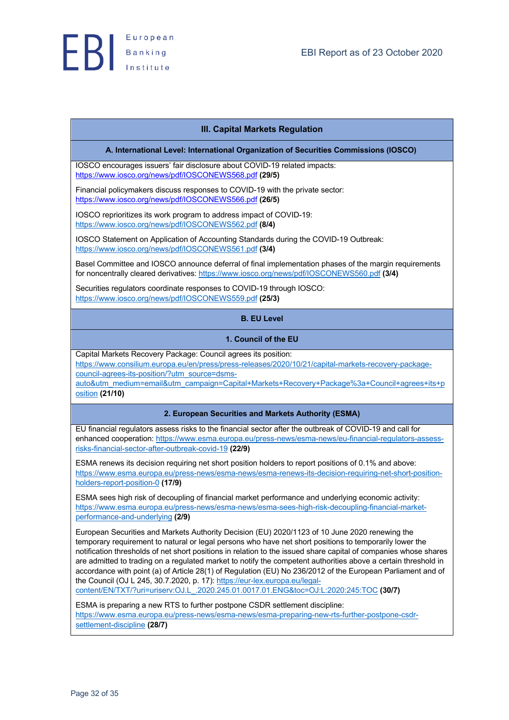

## **III. Capital Markets Regulation**

#### **A. International Level: International Organization of Securities Commissions (IOSCO)**

IOSCO encourages issuers' fair disclosure about COVID-19 related impacts: https://www.iosco.org/news/pdf/IOSCONEWS568.pdf **(29/5)**

Financial policymakers discuss responses to COVID-19 with the private sector: https://www.iosco.org/news/pdf/IOSCONEWS566.pdf **(26/5)**

IOSCO reprioritizes its work program to address impact of COVID-19: https://www.iosco.org/news/pdf/IOSCONEWS562.pdf **(8/4)**

IOSCO Statement on Application of Accounting Standards during the COVID-19 Outbreak: https://www.iosco.org/news/pdf/IOSCONEWS561.pdf **(3/4)**

Basel Committee and IOSCO announce deferral of final implementation phases of the margin requirements for noncentrally cleared derivatives: https://www.iosco.org/news/pdf/IOSCONEWS560.pdf **(3/4)**

Securities regulators coordinate responses to COVID-19 through IOSCO: https://www.iosco.org/news/pdf/IOSCONEWS559.pdf **(25/3)**

## **B. EU Level**

#### **1. Council of the EU**

Capital Markets Recovery Package: Council agrees its position: https://www.consilium.europa.eu/en/press/press-releases/2020/10/21/capital-markets-recovery-packagecouncil-agrees-its-position/?utm\_source=dsms-

auto&utm\_medium=email&utm\_campaign=Capital+Markets+Recovery+Package%3a+Council+agrees+its+p osition **(21/10)**

#### **2. European Securities and Markets Authority (ESMA)**

EU financial regulators assess risks to the financial sector after the outbreak of COVID-19 and call for enhanced cooperation: https://www.esma.europa.eu/press-news/esma-news/eu-financial-regulators-assessrisks-financial-sector-after-outbreak-covid-19 **(22/9)**

ESMA renews its decision requiring net short position holders to report positions of 0.1% and above: https://www.esma.europa.eu/press-news/esma-news/esma-renews-its-decision-requiring-net-short-positionholders-report-position-0 **(17/9)**

ESMA sees high risk of decoupling of financial market performance and underlying economic activity: https://www.esma.europa.eu/press-news/esma-news/esma-sees-high-risk-decoupling-financial-marketperformance-and-underlying **(2/9)**

European Securities and Markets Authority Decision (EU) 2020/1123 of 10 June 2020 renewing the temporary requirement to natural or legal persons who have net short positions to temporarily lower the notification thresholds of net short positions in relation to the issued share capital of companies whose shares are admitted to trading on a regulated market to notify the competent authorities above a certain threshold in accordance with point (a) of Article 28(1) of Regulation (EU) No 236/2012 of the European Parliament and of the Council (OJ L 245, 30.7.2020, p. 17): https://eur-lex.europa.eu/legal-

content/EN/TXT/?uri=uriserv:OJ.L\_.2020.245.01.0017.01.ENG&toc=OJ:L:2020:245:TOC **(30/7)**

ESMA is preparing a new RTS to further postpone CSDR settlement discipline: https://www.esma.europa.eu/press-news/esma-news/esma-preparing-new-rts-further-postpone-csdrsettlement-discipline **(28/7)**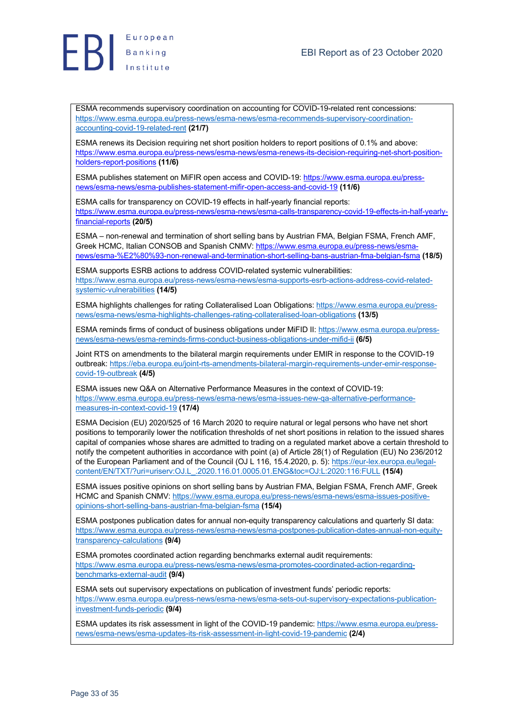

ESMA recommends supervisory coordination on accounting for COVID-19-related rent concessions: https://www.esma.europa.eu/press-news/esma-news/esma-recommends-supervisory-coordinationaccounting-covid-19-related-rent **(21/7)**

ESMA renews its Decision requiring net short position holders to report positions of 0.1% and above: https://www.esma.europa.eu/press-news/esma-news/esma-renews-its-decision-requiring-net-short-positionholders-report-positions **(11/6)**

ESMA publishes statement on MiFIR open access and COVID-19: https://www.esma.europa.eu/pressnews/esma-news/esma-publishes-statement-mifir-open-access-and-covid-19 **(11/6)**

ESMA calls for transparency on COVID-19 effects in half-yearly financial reports: https://www.esma.europa.eu/press-news/esma-news/esma-calls-transparency-covid-19-effects-in-half-yearlyfinancial-reports **(20/5)**

ESMA – non-renewal and termination of short selling bans by Austrian FMA, Belgian FSMA, French AMF, Greek HCMC, Italian CONSOB and Spanish CNMV: https://www.esma.europa.eu/press-news/esmanews/esma-%E2%80%93-non-renewal-and-termination-short-selling-bans-austrian-fma-belgian-fsma **(18/5)**

ESMA supports ESRB actions to address COVID-related systemic vulnerabilities: https://www.esma.europa.eu/press-news/esma-news/esma-supports-esrb-actions-address-covid-relatedsystemic-vulnerabilities **(14/5)**

ESMA highlights challenges for rating Collateralised Loan Obligations: https://www.esma.europa.eu/pressnews/esma-news/esma-highlights-challenges-rating-collateralised-loan-obligations **(13/5)**

ESMA reminds firms of conduct of business obligations under MiFID II: https://www.esma.europa.eu/pressnews/esma-news/esma-reminds-firms-conduct-business-obligations-under-mifid-ii **(6/5)**

Joint RTS on amendments to the bilateral margin requirements under EMIR in response to the COVID-19 outbreak: https://eba.europa.eu/joint-rts-amendments-bilateral-margin-requirements-under-emir-responsecovid-19-outbreak **(4/5)**

ESMA issues new Q&A on Alternative Performance Measures in the context of COVID-19: https://www.esma.europa.eu/press-news/esma-news/esma-issues-new-qa-alternative-performancemeasures-in-context-covid-19 **(17/4)**

ESMA Decision (EU) 2020/525 of 16 March 2020 to require natural or legal persons who have net short positions to temporarily lower the notification thresholds of net short positions in relation to the issued shares capital of companies whose shares are admitted to trading on a regulated market above a certain threshold to notify the competent authorities in accordance with point (a) of Article 28(1) of Regulation (EU) No 236/2012 of the European Parliament and of the Council (OJ L 116, 15.4.2020, p. 5): https://eur-lex.europa.eu/legalcontent/EN/TXT/?uri=uriserv:OJ.L\_.2020.116.01.0005.01.ENG&toc=OJ:L:2020:116:FULL **(15/4)**

ESMA issues positive opinions on short selling bans by Austrian FMA, Belgian FSMA, French AMF, Greek HCMC and Spanish CNMV: https://www.esma.europa.eu/press-news/esma-news/esma-issues-positiveopinions-short-selling-bans-austrian-fma-belgian-fsma **(15/4)**

ESMA postpones publication dates for annual non-equity transparency calculations and quarterly SI data: https://www.esma.europa.eu/press-news/esma-news/esma-postpones-publication-dates-annual-non-equitytransparency-calculations **(9/4)**

ESMA promotes coordinated action regarding benchmarks external audit requirements: https://www.esma.europa.eu/press-news/esma-news/esma-promotes-coordinated-action-regardingbenchmarks-external-audit **(9/4)**

ESMA sets out supervisory expectations on publication of investment funds' periodic reports: https://www.esma.europa.eu/press-news/esma-news/esma-sets-out-supervisory-expectations-publicationinvestment-funds-periodic **(9/4)**

ESMA updates its risk assessment in light of the COVID-19 pandemic: https://www.esma.europa.eu/pressnews/esma-news/esma-updates-its-risk-assessment-in-light-covid-19-pandemic **(2/4)**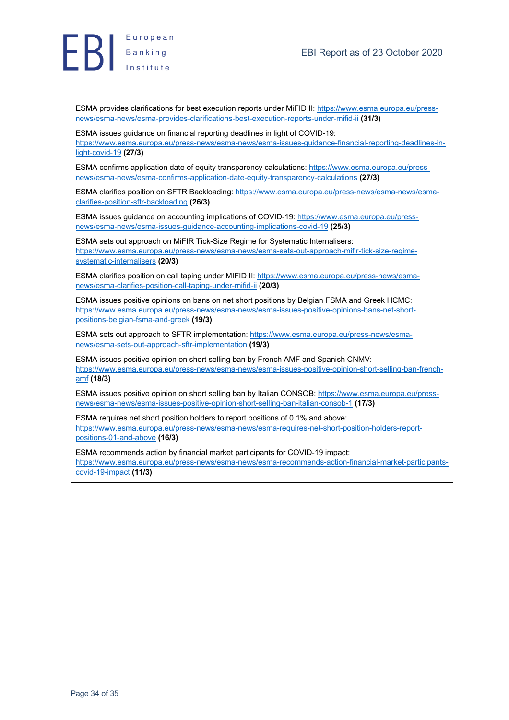



ESMA provides clarifications for best execution reports under MiFID II: https://www.esma.europa.eu/pressnews/esma-news/esma-provides-clarifications-best-execution-reports-under-mifid-ii **(31/3)**

ESMA issues guidance on financial reporting deadlines in light of COVID-19: https://www.esma.europa.eu/press-news/esma-news/esma-issues-guidance-financial-reporting-deadlines-inlight-covid-19 **(27/3)**

ESMA confirms application date of equity transparency calculations: https://www.esma.europa.eu/pressnews/esma-news/esma-confirms-application-date-equity-transparency-calculations **(27/3)**

ESMA clarifies position on SFTR Backloading: https://www.esma.europa.eu/press-news/esma-news/esmaclarifies-position-sftr-backloading **(26/3)**

ESMA issues guidance on accounting implications of COVID-19: https://www.esma.europa.eu/pressnews/esma-news/esma-issues-guidance-accounting-implications-covid-19 **(25/3)**

ESMA sets out approach on MiFIR Tick-Size Regime for Systematic Internalisers: https://www.esma.europa.eu/press-news/esma-news/esma-sets-out-approach-mifir-tick-size-regimesystematic-internalisers **(20/3)**

ESMA clarifies position on call taping under MIFID II: https://www.esma.europa.eu/press-news/esmanews/esma-clarifies-position-call-taping-under-mifid-ii **(20/3)**

ESMA issues positive opinions on bans on net short positions by Belgian FSMA and Greek HCMC: https://www.esma.europa.eu/press-news/esma-news/esma-issues-positive-opinions-bans-net-shortpositions-belgian-fsma-and-greek **(19/3)**

ESMA sets out approach to SFTR implementation: https://www.esma.europa.eu/press-news/esmanews/esma-sets-out-approach-sftr-implementation **(19/3)**

ESMA issues positive opinion on short selling ban by French AMF and Spanish CNMV: https://www.esma.europa.eu/press-news/esma-news/esma-issues-positive-opinion-short-selling-ban-frenchamf **(18/3)**

ESMA issues positive opinion on short selling ban by Italian CONSOB: https://www.esma.europa.eu/pressnews/esma-news/esma-issues-positive-opinion-short-selling-ban-italian-consob-1 **(17/3)**

ESMA requires net short position holders to report positions of 0.1% and above: https://www.esma.europa.eu/press-news/esma-news/esma-requires-net-short-position-holders-reportpositions-01-and-above **(16/3)**

ESMA recommends action by financial market participants for COVID-19 impact: https://www.esma.europa.eu/press-news/esma-news/esma-recommends-action-financial-market-participantscovid-19-impact **(11/3)**